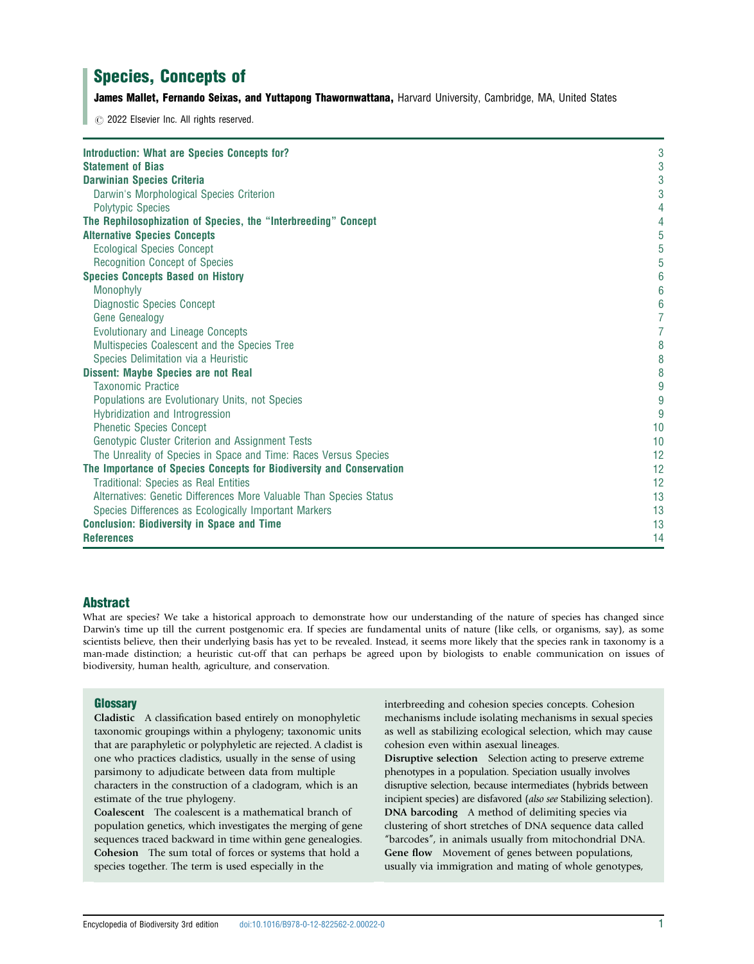# Species, Concepts of

James Mallet, Fernando Seixas, and Yuttapong Thawornwattana, Harvard University, Cambridge, MA, United States

 $\odot$  2022 Elsevier Inc. All rights reserved.

| Introduction: What are Species Concepts for?                         | 3  |
|----------------------------------------------------------------------|----|
| <b>Statement of Bias</b>                                             | 3  |
| <b>Darwinian Species Criteria</b>                                    | 3  |
| Darwin's Morphological Species Criterion                             | 3  |
| <b>Polytypic Species</b>                                             | 4  |
| The Rephilosophization of Species, the "Interbreeding" Concept       | 4  |
| <b>Alternative Species Concepts</b>                                  | 5  |
| <b>Ecological Species Concept</b>                                    | 5  |
| <b>Recognition Concept of Species</b>                                | 5  |
| <b>Species Concepts Based on History</b>                             | 6  |
| Monophyly                                                            | 6  |
| <b>Diagnostic Species Concept</b>                                    | 6  |
| <b>Gene Genealogy</b>                                                | 7  |
| <b>Evolutionary and Lineage Concepts</b>                             | 7  |
| Multispecies Coalescent and the Species Tree                         | 8  |
| Species Delimitation via a Heuristic                                 | 8  |
| <b>Dissent: Maybe Species are not Real</b>                           | 8  |
| <b>Taxonomic Practice</b>                                            | 9  |
| Populations are Evolutionary Units, not Species                      | 9  |
| Hybridization and Introgression                                      | 9  |
| <b>Phenetic Species Concept</b>                                      | 10 |
| Genotypic Cluster Criterion and Assignment Tests                     | 10 |
| The Unreality of Species in Space and Time: Races Versus Species     | 12 |
| The Importance of Species Concepts for Biodiversity and Conservation | 12 |
| <b>Traditional: Species as Real Entities</b>                         | 12 |
| Alternatives: Genetic Differences More Valuable Than Species Status  | 13 |
| Species Differences as Ecologically Important Markers                | 13 |
| <b>Conclusion: Biodiversity in Space and Time</b>                    | 13 |
| <b>References</b>                                                    | 14 |

# **Abstract**

What are species? We take a historical approach to demonstrate how our understanding of the nature of species has changed since Darwin's time up till the current postgenomic era. If species are fundamental units of nature (like cells, or organisms, say), as some scientists believe, then their underlying basis has yet to be revealed. Instead, it seems more likely that the species rank in taxonomy is a man-made distinction; a heuristic cut-off that can perhaps be agreed upon by biologists to enable communication on issues of biodiversity, human health, agriculture, and conservation.

# **Glossary**

Cladistic A classification based entirely on monophyletic taxonomic groupings within a phylogeny; taxonomic units that are paraphyletic or polyphyletic are rejected. A cladist is one who practices cladistics, usually in the sense of using parsimony to adjudicate between data from multiple characters in the construction of a cladogram, which is an estimate of the true phylogeny.

Coalescent The coalescent is a mathematical branch of population genetics, which investigates the merging of gene sequences traced backward in time within gene genealogies. Cohesion The sum total of forces or systems that hold a species together. The term is used especially in the

interbreeding and cohesion species concepts. Cohesion mechanisms include isolating mechanisms in sexual species as well as stabilizing ecological selection, which may cause cohesion even within asexual lineages.

Disruptive selection Selection acting to preserve extreme phenotypes in a population. Speciation usually involves disruptive selection, because intermediates (hybrids between incipient species) are disfavored (also see Stabilizing selection). DNA barcoding A method of delimiting species via clustering of short stretches of DNA sequence data called "barcodes", in animals usually from mitochondrial DNA. Gene flow Movement of genes between populations, usually via immigration and mating of whole genotypes,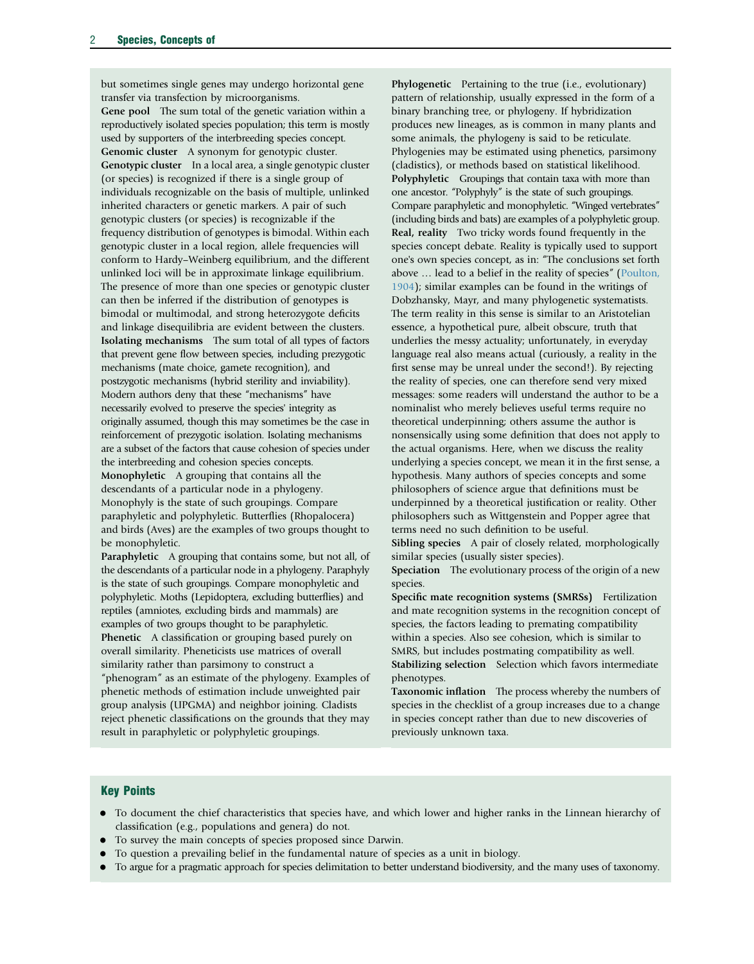but sometimes single genes may undergo horizontal gene transfer via transfection by microorganisms. Gene pool The sum total of the genetic variation within a reproductively isolated species population; this term is mostly used by supporters of the interbreeding species concept. Genomic cluster A synonym for genotypic cluster. Genotypic cluster In a local area, a single genotypic cluster (or species) is recognized if there is a single group of individuals recognizable on the basis of multiple, unlinked inherited characters or genetic markers. A pair of such genotypic clusters (or species) is recognizable if the frequency distribution of genotypes is bimodal. Within each genotypic cluster in a local region, allele frequencies will conform to Hardy–Weinberg equilibrium, and the different unlinked loci will be in approximate linkage equilibrium. The presence of more than one species or genotypic cluster can then be inferred if the distribution of genotypes is bimodal or multimodal, and strong heterozygote deficits and linkage disequilibria are evident between the clusters. Isolating mechanisms The sum total of all types of factors that prevent gene flow between species, including prezygotic mechanisms (mate choice, gamete recognition), and postzygotic mechanisms (hybrid sterility and inviability). Modern authors deny that these "mechanisms" have necessarily evolved to preserve the species' integrity as originally assumed, though this may sometimes be the case in reinforcement of prezygotic isolation. Isolating mechanisms are a subset of the factors that cause cohesion of species under the interbreeding and cohesion species concepts. Monophyletic A grouping that contains all the descendants of a particular node in a phylogeny. Monophyly is the state of such groupings. Compare paraphyletic and polyphyletic. Butterflies (Rhopalocera) and birds (Aves) are the examples of two groups thought to be monophyletic.

Paraphyletic A grouping that contains some, but not all, of the descendants of a particular node in a phylogeny. Paraphyly is the state of such groupings. Compare monophyletic and polyphyletic. Moths (Lepidoptera, excluding butterflies) and reptiles (amniotes, excluding birds and mammals) are examples of two groups thought to be paraphyletic. Phenetic A classification or grouping based purely on overall similarity. Pheneticists use matrices of overall similarity rather than parsimony to construct a "phenogram" as an estimate of the phylogeny. Examples of phenetic methods of estimation include unweighted pair group analysis (UPGMA) and neighbor joining. Cladists reject phenetic classifications on the grounds that they may result in paraphyletic or polyphyletic groupings.

Phylogenetic Pertaining to the true (i.e., evolutionary) pattern of relationship, usually expressed in the form of a binary branching tree, or phylogeny. If hybridization produces new lineages, as is common in many plants and some animals, the phylogeny is said to be reticulate. Phylogenies may be estimated using phenetics, parsimony (cladistics), or methods based on statistical likelihood. Polyphyletic Groupings that contain taxa with more than one ancestor. "Polyphyly" is the state of such groupings. Compare paraphyletic and monophyletic. "Winged vertebrates" (including birds and bats) are examples of a polyphyletic group. Real, reality Two tricky words found frequently in the species concept debate. Reality is typically used to support one's own species concept, as in: "The conclusions set forth above … lead to a belief in the reality of species" [\(Poulton,](#page-14-0) [1904\)](#page-14-0); similar examples can be found in the writings of Dobzhansky, Mayr, and many phylogenetic systematists. The term reality in this sense is similar to an Aristotelian essence, a hypothetical pure, albeit obscure, truth that underlies the messy actuality; unfortunately, in everyday language real also means actual (curiously, a reality in the first sense may be unreal under the second!). By rejecting the reality of species, one can therefore send very mixed messages: some readers will understand the author to be a nominalist who merely believes useful terms require no theoretical underpinning; others assume the author is nonsensically using some definition that does not apply to the actual organisms. Here, when we discuss the reality underlying a species concept, we mean it in the first sense, a hypothesis. Many authors of species concepts and some philosophers of science argue that definitions must be underpinned by a theoretical justification or reality. Other philosophers such as Wittgenstein and Popper agree that terms need no such definition to be useful.

Sibling species A pair of closely related, morphologically similar species (usually sister species).

Speciation The evolutionary process of the origin of a new species.

Specific mate recognition systems (SMRSs) Fertilization and mate recognition systems in the recognition concept of species, the factors leading to premating compatibility within a species. Also see cohesion, which is similar to SMRS, but includes postmating compatibility as well. Stabilizing selection Selection which favors intermediate phenotypes.

Taxonomic inflation The process whereby the numbers of species in the checklist of a group increases due to a change in species concept rather than due to new discoveries of previously unknown taxa.

# Key Points

- To document the chief characteristics that species have, and which lower and higher ranks in the Linnean hierarchy of classification (e.g., populations and genera) do not.
- To survey the main concepts of species proposed since Darwin.
- To question a prevailing belief in the fundamental nature of species as a unit in biology.
- To argue for a pragmatic approach for species delimitation to better understand biodiversity, and the many uses of taxonomy.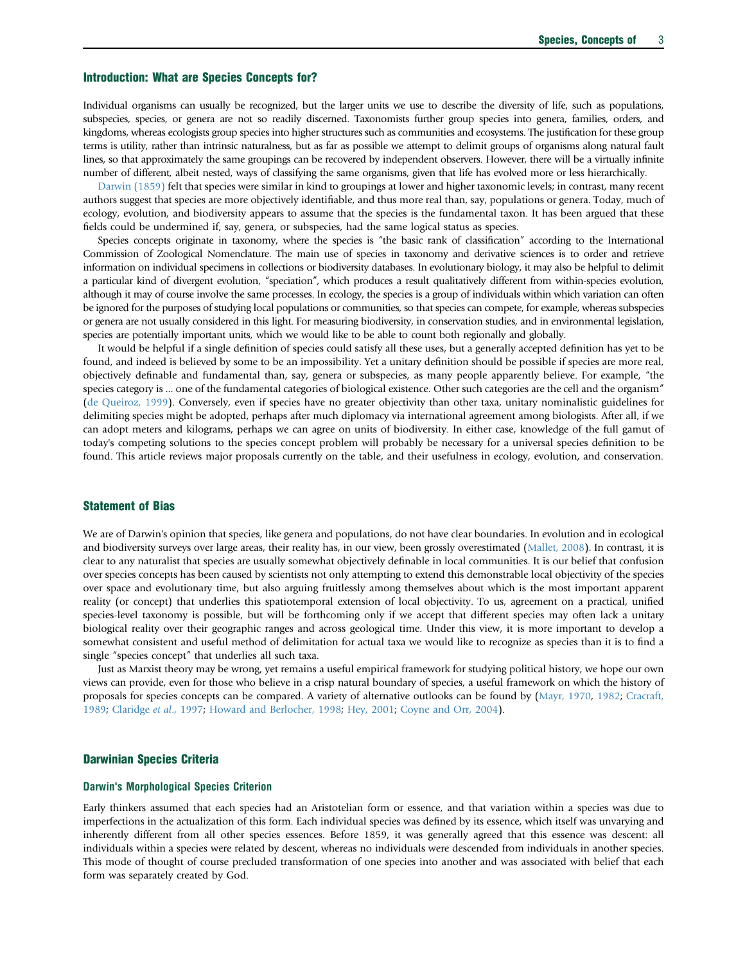# <span id="page-2-0"></span>Introduction: What are Species Concepts for?

Individual organisms can usually be recognized, but the larger units we use to describe the diversity of life, such as populations, subspecies, species, or genera are not so readily discerned. Taxonomists further group species into genera, families, orders, and kingdoms, whereas ecologists group species into higher structures such as communities and ecosystems. The justification for these group terms is utility, rather than intrinsic naturalness, but as far as possible we attempt to delimit groups of organisms along natural fault lines, so that approximately the same groupings can be recovered by independent observers. However, there will be a virtually infinite number of different, albeit nested, ways of classifying the same organisms, given that life has evolved more or less hierarchically.

[Darwin \(1859\)](#page-13-0) felt that species were similar in kind to groupings at lower and higher taxonomic levels; in contrast, many recent authors suggest that species are more objectively identifiable, and thus more real than, say, populations or genera. Today, much of ecology, evolution, and biodiversity appears to assume that the species is the fundamental taxon. It has been argued that these fields could be undermined if, say, genera, or subspecies, had the same logical status as species.

Species concepts originate in taxonomy, where the species is "the basic rank of classification" according to the International Commission of Zoological Nomenclature. The main use of species in taxonomy and derivative sciences is to order and retrieve information on individual specimens in collections or biodiversity databases. In evolutionary biology, it may also be helpful to delimit a particular kind of divergent evolution, "speciation", which produces a result qualitatively different from within-species evolution, although it may of course involve the same processes. In ecology, the species is a group of individuals within which variation can often be ignored for the purposes of studying local populations or communities, so that species can compete, for example, whereas subspecies or genera are not usually considered in this light. For measuring biodiversity, in conservation studies, and in environmental legislation, species are potentially important units, which we would like to be able to count both regionally and globally.

It would be helpful if a single definition of species could satisfy all these uses, but a generally accepted definition has yet to be found, and indeed is believed by some to be an impossibility. Yet a unitary definition should be possible if species are more real, objectively definable and fundamental than, say, genera or subspecies, as many people apparently believe. For example, "the species category is ... one of the fundamental categories of biological existence. Other such categories are the cell and the organism" ([de Queiroz, 1999\)](#page-13-0). Conversely, even if species have no greater objectivity than other taxa, unitary nominalistic guidelines for delimiting species might be adopted, perhaps after much diplomacy via international agreement among biologists. After all, if we can adopt meters and kilograms, perhaps we can agree on units of biodiversity. In either case, knowledge of the full gamut of today's competing solutions to the species concept problem will probably be necessary for a universal species definition to be found. This article reviews major proposals currently on the table, and their usefulness in ecology, evolution, and conservation.

# Statement of Bias

We are of Darwin's opinion that species, like genera and populations, do not have clear boundaries. In evolution and in ecological and biodiversity surveys over large areas, their reality has, in our view, been grossly overestimated [\(Mallet, 2008\)](#page-13-0). In contrast, it is clear to any naturalist that species are usually somewhat objectively definable in local communities. It is our belief that confusion over species concepts has been caused by scientists not only attempting to extend this demonstrable local objectivity of the species over space and evolutionary time, but also arguing fruitlessly among themselves about which is the most important apparent reality (or concept) that underlies this spatiotemporal extension of local objectivity. To us, agreement on a practical, unified species-level taxonomy is possible, but will be forthcoming only if we accept that different species may often lack a unitary biological reality over their geographic ranges and across geological time. Under this view, it is more important to develop a somewhat consistent and useful method of delimitation for actual taxa we would like to recognize as species than it is to find a single "species concept" that underlies all such taxa.

Just as Marxist theory may be wrong, yet remains a useful empirical framework for studying political history, we hope our own views can provide, even for those who believe in a crisp natural boundary of species, a useful framework on which the history of proposals for species concepts can be compared. A variety of alternative outlooks can be found by ([Mayr, 1970,](#page-14-0) [1982;](#page-14-0) [Cracraft,](#page-13-0) [1989](#page-13-0); [Claridge](#page-13-0) et al., 1997; [Howard and Berlocher, 1998](#page-13-0); [Hey, 2001](#page-13-0); [Coyne and Orr, 2004\)](#page-13-0).

# Darwinian Species Criteria

# Darwin's Morphological Species Criterion

Early thinkers assumed that each species had an Aristotelian form or essence, and that variation within a species was due to imperfections in the actualization of this form. Each individual species was defined by its essence, which itself was unvarying and inherently different from all other species essences. Before 1859, it was generally agreed that this essence was descent: all individuals within a species were related by descent, whereas no individuals were descended from individuals in another species. This mode of thought of course precluded transformation of one species into another and was associated with belief that each form was separately created by God.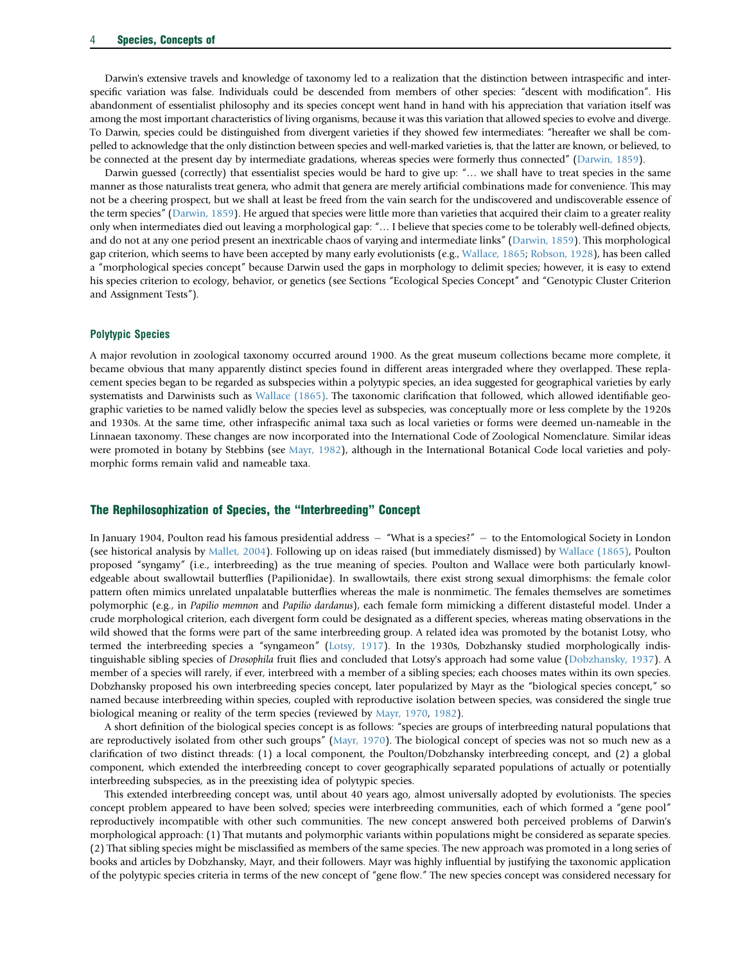Darwin's extensive travels and knowledge of taxonomy led to a realization that the distinction between intraspecific and interspecific variation was false. Individuals could be descended from members of other species: "descent with modification". His abandonment of essentialist philosophy and its species concept went hand in hand with his appreciation that variation itself was among the most important characteristics of living organisms, because it was this variation that allowed species to evolve and diverge. To Darwin, species could be distinguished from divergent varieties if they showed few intermediates: "hereafter we shall be compelled to acknowledge that the only distinction between species and well-marked varieties is, that the latter are known, or believed, to be connected at the present day by intermediate gradations, whereas species were formerly thus connected" ([Darwin, 1859\)](#page-13-0).

Darwin guessed (correctly) that essentialist species would be hard to give up: "… we shall have to treat species in the same manner as those naturalists treat genera, who admit that genera are merely artificial combinations made for convenience. This may not be a cheering prospect, but we shall at least be freed from the vain search for the undiscovered and undiscoverable essence of the term species" ([Darwin, 1859\)](#page-13-0). He argued that species were little more than varieties that acquired their claim to a greater reality only when intermediates died out leaving a morphological gap: "… I believe that species come to be tolerably well-defined objects, and do not at any one period present an inextricable chaos of varying and intermediate links" [\(Darwin, 1859](#page-13-0)). This morphological gap criterion, which seems to have been accepted by many early evolutionists (e.g., [Wallace, 1865;](#page-14-0) [Robson, 1928\)](#page-14-0), has been called a "morphological species concept" because Darwin used the gaps in morphology to delimit species; however, it is easy to extend his species criterion to ecology, behavior, or genetics (see Sections "[Ecological Species Concept](#page-4-0)" and "[Genotypic Cluster Criterion](#page-9-0) [and Assignment Tests](#page-9-0)").

# Polytypic Species

A major revolution in zoological taxonomy occurred around 1900. As the great museum collections became more complete, it became obvious that many apparently distinct species found in different areas intergraded where they overlapped. These replacement species began to be regarded as subspecies within a polytypic species, an idea suggested for geographical varieties by early systematists and Darwinists such as [Wallace \(1865\)](#page-14-0). The taxonomic clarification that followed, which allowed identifiable geographic varieties to be named validly below the species level as subspecies, was conceptually more or less complete by the 1920s and 1930s. At the same time, other infraspecific animal taxa such as local varieties or forms were deemed un-nameable in the Linnaean taxonomy. These changes are now incorporated into the International Code of Zoological Nomenclature. Similar ideas were promoted in botany by Stebbins (see [Mayr, 1982](#page-14-0)), although in the International Botanical Code local varieties and polymorphic forms remain valid and nameable taxa.

# The Rephilosophization of Species, the "Interbreeding" Concept

In January 1904, Poulton read his famous presidential address  $-$  "What is a species?"  $-$  to the Entomological Society in London (see historical analysis by [Mallet, 2004\)](#page-13-0). Following up on ideas raised (but immediately dismissed) by [Wallace \(1865\),](#page-14-0) Poulton proposed "syngamy" (i.e., interbreeding) as the true meaning of species. Poulton and Wallace were both particularly knowledgeable about swallowtail butterflies (Papilionidae). In swallowtails, there exist strong sexual dimorphisms: the female color pattern often mimics unrelated unpalatable butterflies whereas the male is nonmimetic. The females themselves are sometimes polymorphic (e.g., in Papilio memnon and Papilio dardanus), each female form mimicking a different distasteful model. Under a crude morphological criterion, each divergent form could be designated as a different species, whereas mating observations in the wild showed that the forms were part of the same interbreeding group. A related idea was promoted by the botanist Lotsy, who termed the interbreeding species a "syngameon" [\(Lotsy, 1917\)](#page-13-0). In the 1930s, Dobzhansky studied morphologically indis-tinguishable sibling species of Drosophila fruit flies and concluded that Lotsy's approach had some value [\(Dobzhansky, 1937](#page-13-0)). A member of a species will rarely, if ever, interbreed with a member of a sibling species; each chooses mates within its own species. Dobzhansky proposed his own interbreeding species concept, later popularized by Mayr as the "biological species concept," so named because interbreeding within species, coupled with reproductive isolation between species, was considered the single true biological meaning or reality of the term species (reviewed by [Mayr, 1970](#page-14-0), [1982](#page-14-0)).

A short definition of the biological species concept is as follows: "species are groups of interbreeding natural populations that are reproductively isolated from other such groups" ([Mayr, 1970\)](#page-14-0). The biological concept of species was not so much new as a clarification of two distinct threads: (1) a local component, the Poulton/Dobzhansky interbreeding concept, and (2) a global component, which extended the interbreeding concept to cover geographically separated populations of actually or potentially interbreeding subspecies, as in the preexisting idea of polytypic species.

This extended interbreeding concept was, until about 40 years ago, almost universally adopted by evolutionists. The species concept problem appeared to have been solved; species were interbreeding communities, each of which formed a "gene pool" reproductively incompatible with other such communities. The new concept answered both perceived problems of Darwin's morphological approach: (1) That mutants and polymorphic variants within populations might be considered as separate species. (2) That sibling species might be misclassified as members of the same species. The new approach was promoted in a long series of books and articles by Dobzhansky, Mayr, and their followers. Mayr was highly influential by justifying the taxonomic application of the polytypic species criteria in terms of the new concept of "gene flow." The new species concept was considered necessary for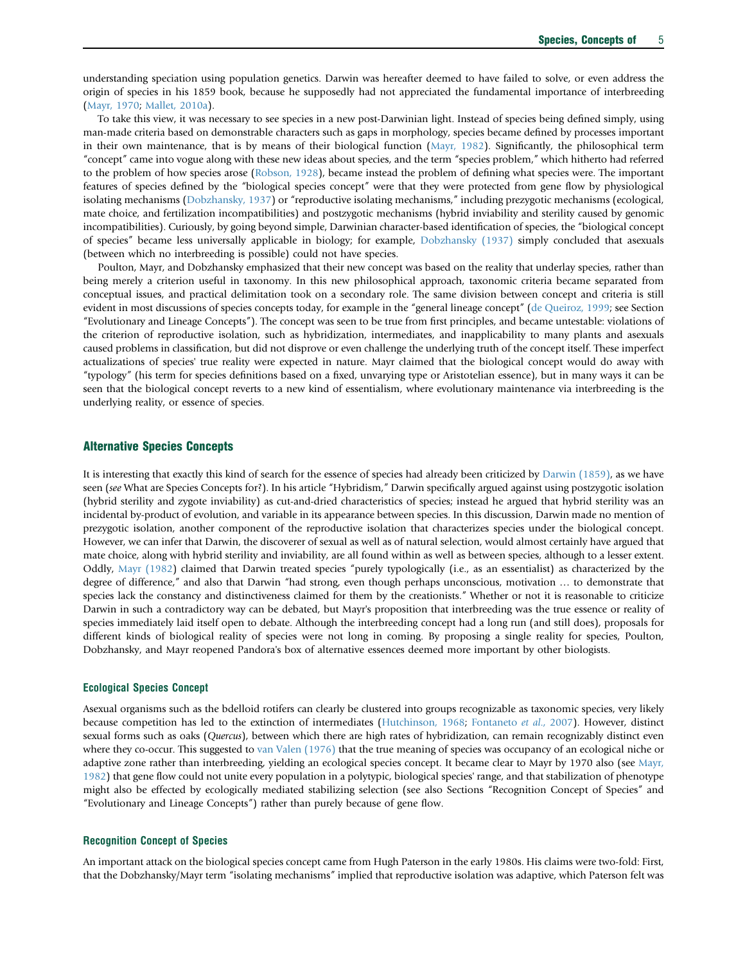<span id="page-4-0"></span>understanding speciation using population genetics. Darwin was hereafter deemed to have failed to solve, or even address the origin of species in his 1859 book, because he supposedly had not appreciated the fundamental importance of interbreeding ([Mayr, 1970](#page-14-0); [Mallet, 2010a\)](#page-14-0).

To take this view, it was necessary to see species in a new post-Darwinian light. Instead of species being defined simply, using man-made criteria based on demonstrable characters such as gaps in morphology, species became defined by processes important in their own maintenance, that is by means of their biological function ([Mayr, 1982](#page-14-0)). Significantly, the philosophical term "concept" came into vogue along with these new ideas about species, and the term "species problem," which hitherto had referred to the problem of how species arose [\(Robson, 1928](#page-14-0)), became instead the problem of defining what species were. The important features of species defined by the "biological species concept" were that they were protected from gene flow by physiological isolating mechanisms ([Dobzhansky, 1937](#page-13-0)) or "reproductive isolating mechanisms," including prezygotic mechanisms (ecological, mate choice, and fertilization incompatibilities) and postzygotic mechanisms (hybrid inviability and sterility caused by genomic incompatibilities). Curiously, by going beyond simple, Darwinian character-based identification of species, the "biological concept of species" became less universally applicable in biology; for example, [Dobzhansky \(1937\)](#page-13-0) simply concluded that asexuals (between which no interbreeding is possible) could not have species.

Poulton, Mayr, and Dobzhansky emphasized that their new concept was based on the reality that underlay species, rather than being merely a criterion useful in taxonomy. In this new philosophical approach, taxonomic criteria became separated from conceptual issues, and practical delimitation took on a secondary role. The same division between concept and criteria is still evident in most discussions of species concepts today, for example in the "general lineage concept" [\(de Queiroz, 1999](#page-13-0); see Section "[Evolutionary and Lineage Concepts](#page-6-0)"). The concept was seen to be true from first principles, and became untestable: violations of the criterion of reproductive isolation, such as hybridization, intermediates, and inapplicability to many plants and asexuals caused problems in classification, but did not disprove or even challenge the underlying truth of the concept itself. These imperfect actualizations of species' true reality were expected in nature. Mayr claimed that the biological concept would do away with "typology" (his term for species definitions based on a fixed, unvarying type or Aristotelian essence), but in many ways it can be seen that the biological concept reverts to a new kind of essentialism, where evolutionary maintenance via interbreeding is the underlying reality, or essence of species.

# Alternative Species Concepts

It is interesting that exactly this kind of search for the essence of species had already been criticized by [Darwin \(1859\),](#page-13-0) as we have seen (see [What are Species Concepts for?\)](#page-2-0). In his article "Hybridism," Darwin specifically argued against using postzygotic isolation (hybrid sterility and zygote inviability) as cut-and-dried characteristics of species; instead he argued that hybrid sterility was an incidental by-product of evolution, and variable in its appearance between species. In this discussion, Darwin made no mention of prezygotic isolation, another component of the reproductive isolation that characterizes species under the biological concept. However, we can infer that Darwin, the discoverer of sexual as well as of natural selection, would almost certainly have argued that mate choice, along with hybrid sterility and inviability, are all found within as well as between species, although to a lesser extent. Oddly, [Mayr \(1982](#page-14-0)) claimed that Darwin treated species "purely typologically (i.e., as an essentialist) as characterized by the degree of difference," and also that Darwin "had strong, even though perhaps unconscious, motivation … to demonstrate that species lack the constancy and distinctiveness claimed for them by the creationists." Whether or not it is reasonable to criticize Darwin in such a contradictory way can be debated, but Mayr's proposition that interbreeding was the true essence or reality of species immediately laid itself open to debate. Although the interbreeding concept had a long run (and still does), proposals for different kinds of biological reality of species were not long in coming. By proposing a single reality for species, Poulton, Dobzhansky, and Mayr reopened Pandora's box of alternative essences deemed more important by other biologists.

# Ecological Species Concept

Asexual organisms such as the bdelloid rotifers can clearly be clustered into groups recognizable as taxonomic species, very likely because competition has led to the extinction of intermediates [\(Hutchinson, 1968](#page-13-0); [Fontaneto](#page-13-0) et al., 2007). However, distinct sexual forms such as oaks (Quercus), between which there are high rates of hybridization, can remain recognizably distinct even where they co-occur. This suggested to [van Valen \(1976\)](#page-14-0) that the true meaning of species was occupancy of an ecological niche or adaptive zone rather than interbreeding, yielding an ecological species concept. It became clear to Mayr by 1970 also (see [Mayr,](#page-14-0) [1982](#page-14-0)) that gene flow could not unite every population in a polytypic, biological species' range, and that stabilization of phenotype might also be effected by ecologically mediated stabilizing selection (see also Sections "Recognition Concept of Species" and "[Evolutionary and Lineage Concepts](#page-6-0)") rather than purely because of gene flow.

# Recognition Concept of Species

An important attack on the biological species concept came from Hugh Paterson in the early 1980s. His claims were two-fold: First, that the Dobzhansky/Mayr term "isolating mechanisms" implied that reproductive isolation was adaptive, which Paterson felt was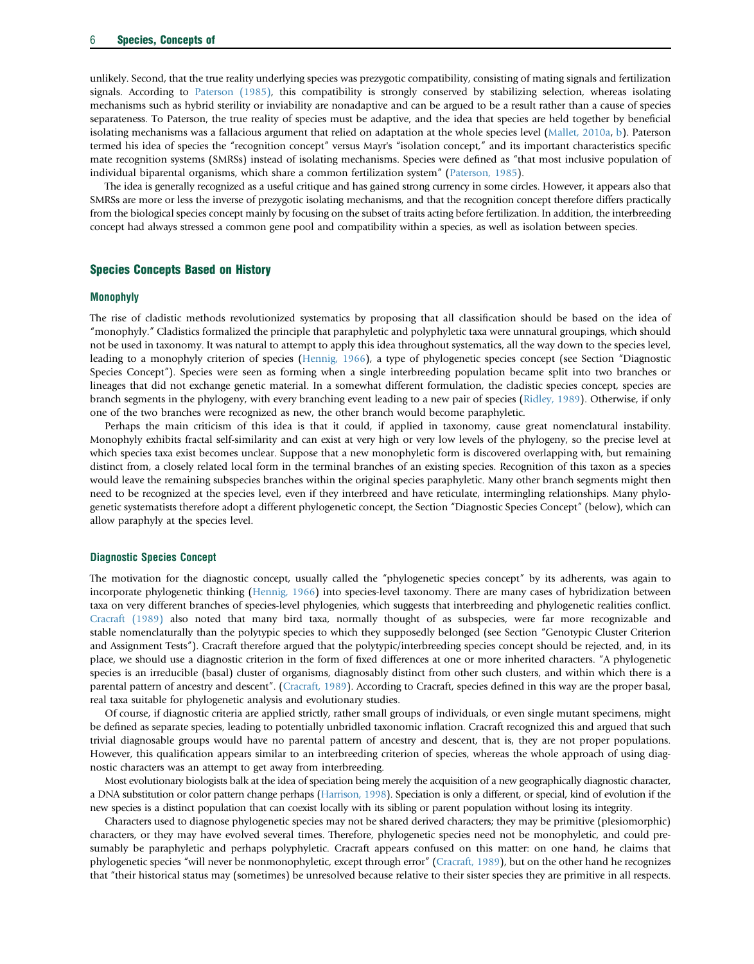<span id="page-5-0"></span>unlikely. Second, that the true reality underlying species was prezygotic compatibility, consisting of mating signals and fertilization signals. According to [Paterson \(1985\)](#page-14-0), this compatibility is strongly conserved by stabilizing selection, whereas isolating mechanisms such as hybrid sterility or inviability are nonadaptive and can be argued to be a result rather than a cause of species separateness. To Paterson, the true reality of species must be adaptive, and the idea that species are held together by beneficial isolating mechanisms was a fallacious argument that relied on adaptation at the whole species level [\(Mallet, 2010a,](#page-14-0) [b](#page-14-0)). Paterson termed his idea of species the "recognition concept" versus Mayr's "isolation concept," and its important characteristics specific mate recognition systems (SMRSs) instead of isolating mechanisms. Species were defined as "that most inclusive population of individual biparental organisms, which share a common fertilization system" [\(Paterson, 1985](#page-14-0)).

The idea is generally recognized as a useful critique and has gained strong currency in some circles. However, it appears also that SMRSs are more or less the inverse of prezygotic isolating mechanisms, and that the recognition concept therefore differs practically from the biological species concept mainly by focusing on the subset of traits acting before fertilization. In addition, the interbreeding concept had always stressed a common gene pool and compatibility within a species, as well as isolation between species.

# Species Concepts Based on History

#### Monophyly

The rise of cladistic methods revolutionized systematics by proposing that all classification should be based on the idea of "monophyly." Cladistics formalized the principle that paraphyletic and polyphyletic taxa were unnatural groupings, which should not be used in taxonomy. It was natural to attempt to apply this idea throughout systematics, all the way down to the species level, leading to a monophyly criterion of species [\(Hennig, 1966\)](#page-13-0), a type of phylogenetic species concept (see Section "Diagnostic Species Concept"). Species were seen as forming when a single interbreeding population became split into two branches or lineages that did not exchange genetic material. In a somewhat different formulation, the cladistic species concept, species are branch segments in the phylogeny, with every branching event leading to a new pair of species [\(Ridley, 1989](#page-14-0)). Otherwise, if only one of the two branches were recognized as new, the other branch would become paraphyletic.

Perhaps the main criticism of this idea is that it could, if applied in taxonomy, cause great nomenclatural instability. Monophyly exhibits fractal self-similarity and can exist at very high or very low levels of the phylogeny, so the precise level at which species taxa exist becomes unclear. Suppose that a new monophyletic form is discovered overlapping with, but remaining distinct from, a closely related local form in the terminal branches of an existing species. Recognition of this taxon as a species would leave the remaining subspecies branches within the original species paraphyletic. Many other branch segments might then need to be recognized at the species level, even if they interbreed and have reticulate, intermingling relationships. Many phylogenetic systematists therefore adopt a different phylogenetic concept, the Section "Diagnostic Species Concept" (below), which can allow paraphyly at the species level.

# Diagnostic Species Concept

The motivation for the diagnostic concept, usually called the "phylogenetic species concept" by its adherents, was again to incorporate phylogenetic thinking ([Hennig, 1966\)](#page-13-0) into species-level taxonomy. There are many cases of hybridization between taxa on very different branches of species-level phylogenies, which suggests that interbreeding and phylogenetic realities conflict. [Cracraft \(1989\)](#page-13-0) also noted that many bird taxa, normally thought of as subspecies, were far more recognizable and stable nomenclaturally than the polytypic species to which they supposedly belonged (see Section "[Genotypic Cluster Criterion](#page-9-0) [and Assignment Tests](#page-9-0)"). Cracraft therefore argued that the polytypic/interbreeding species concept should be rejected, and, in its place, we should use a diagnostic criterion in the form of fixed differences at one or more inherited characters. "A phylogenetic species is an irreducible (basal) cluster of organisms, diagnosably distinct from other such clusters, and within which there is a parental pattern of ancestry and descent". ([Cracraft, 1989\)](#page-13-0). According to Cracraft, species defined in this way are the proper basal, real taxa suitable for phylogenetic analysis and evolutionary studies.

Of course, if diagnostic criteria are applied strictly, rather small groups of individuals, or even single mutant specimens, might be defined as separate species, leading to potentially unbridled taxonomic inflation. Cracraft recognized this and argued that such trivial diagnosable groups would have no parental pattern of ancestry and descent, that is, they are not proper populations. However, this qualification appears similar to an interbreeding criterion of species, whereas the whole approach of using diagnostic characters was an attempt to get away from interbreeding.

Most evolutionary biologists balk at the idea of speciation being merely the acquisition of a new geographically diagnostic character, a DNA substitution or color pattern change perhaps ([Harrison, 1998\)](#page-13-0). Speciation is only a different, or special, kind of evolution if the new species is a distinct population that can coexist locally with its sibling or parent population without losing its integrity.

Characters used to diagnose phylogenetic species may not be shared derived characters; they may be primitive (plesiomorphic) characters, or they may have evolved several times. Therefore, phylogenetic species need not be monophyletic, and could presumably be paraphyletic and perhaps polyphyletic. Cracraft appears confused on this matter: on one hand, he claims that phylogenetic species "will never be nonmonophyletic, except through error" ([Cracraft, 1989\)](#page-13-0), but on the other hand he recognizes that "their historical status may (sometimes) be unresolved because relative to their sister species they are primitive in all respects.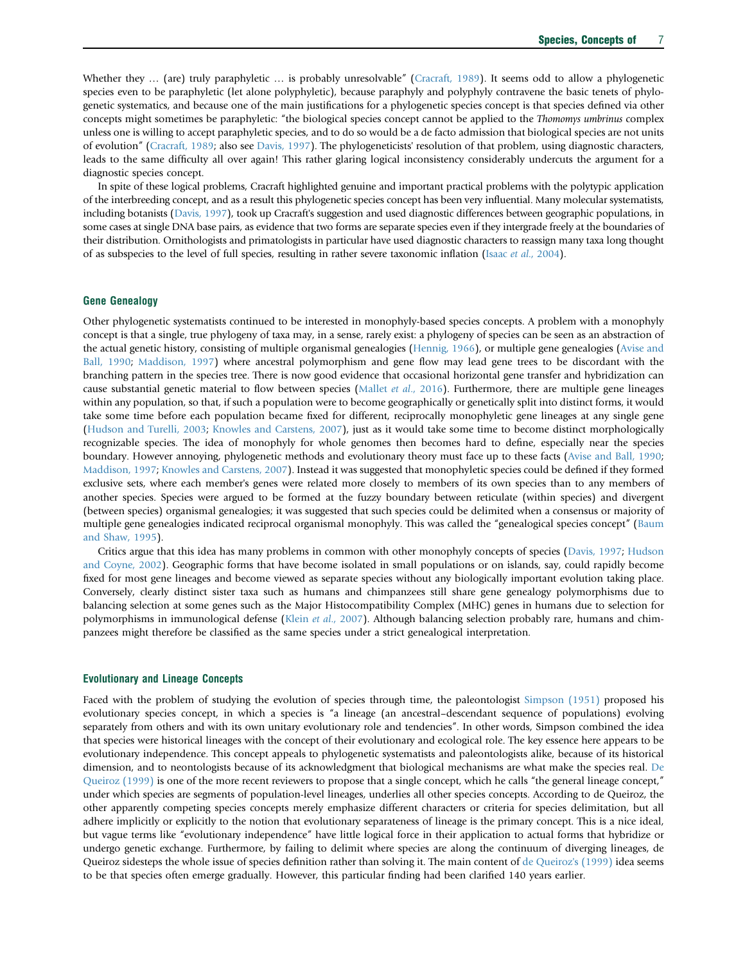<span id="page-6-0"></span>Whether they ... (are) truly paraphyletic ... is probably unresolvable" ([Cracraft, 1989\)](#page-13-0). It seems odd to allow a phylogenetic species even to be paraphyletic (let alone polyphyletic), because paraphyly and polyphyly contravene the basic tenets of phylogenetic systematics, and because one of the main justifications for a phylogenetic species concept is that species defined via other concepts might sometimes be paraphyletic: "the biological species concept cannot be applied to the Thomomys umbrinus complex unless one is willing to accept paraphyletic species, and to do so would be a de facto admission that biological species are not units of evolution" ([Cracraft, 1989;](#page-13-0) also see [Davis, 1997](#page-13-0)). The phylogeneticists' resolution of that problem, using diagnostic characters, leads to the same difficulty all over again! This rather glaring logical inconsistency considerably undercuts the argument for a diagnostic species concept.

In spite of these logical problems, Cracraft highlighted genuine and important practical problems with the polytypic application of the interbreeding concept, and as a result this phylogenetic species concept has been very influential. Many molecular systematists, including botanists ([Davis, 1997](#page-13-0)), took up Cracraft's suggestion and used diagnostic differences between geographic populations, in some cases at single DNA base pairs, as evidence that two forms are separate species even if they intergrade freely at the boundaries of their distribution. Ornithologists and primatologists in particular have used diagnostic characters to reassign many taxa long thought of as subspecies to the level of full species, resulting in rather severe taxonomic inflation (Isaac et al[., 2004](#page-13-0)).

#### Gene Genealogy

Other phylogenetic systematists continued to be interested in monophyly-based species concepts. A problem with a monophyly concept is that a single, true phylogeny of taxa may, in a sense, rarely exist: a phylogeny of species can be seen as an abstraction of the actual genetic history, consisting of multiple organismal genealogies [\(Hennig, 1966\)](#page-13-0), or multiple gene genealogies ([Avise and](#page-13-0) [Ball, 1990](#page-13-0); [Maddison, 1997\)](#page-13-0) where ancestral polymorphism and gene flow may lead gene trees to be discordant with the branching pattern in the species tree. There is now good evidence that occasional horizontal gene transfer and hybridization can cause substantial genetic material to flow between species (Mallet et al[., 2016\)](#page-14-0). Furthermore, there are multiple gene lineages within any population, so that, if such a population were to become geographically or genetically split into distinct forms, it would take some time before each population became fixed for different, reciprocally monophyletic gene lineages at any single gene ([Hudson and Turelli, 2003;](#page-13-0) [Knowles and Carstens, 2007\)](#page-13-0), just as it would take some time to become distinct morphologically recognizable species. The idea of monophyly for whole genomes then becomes hard to define, especially near the species boundary. However annoying, phylogenetic methods and evolutionary theory must face up to these facts [\(Avise and Ball, 1990](#page-13-0); [Maddison, 1997](#page-13-0); [Knowles and Carstens, 2007\)](#page-13-0). Instead it was suggested that monophyletic species could be defined if they formed exclusive sets, where each member's genes were related more closely to members of its own species than to any members of another species. Species were argued to be formed at the fuzzy boundary between reticulate (within species) and divergent (between species) organismal genealogies; it was suggested that such species could be delimited when a consensus or majority of multiple gene genealogies indicated reciprocal organismal monophyly. This was called the "genealogical species concept" ([Baum](#page-13-0) [and Shaw, 1995](#page-13-0)).

Critics argue that this idea has many problems in common with other monophyly concepts of species [\(Davis, 1997;](#page-13-0) [Hudson](#page-13-0) [and Coyne, 2002](#page-13-0)). Geographic forms that have become isolated in small populations or on islands, say, could rapidly become fixed for most gene lineages and become viewed as separate species without any biologically important evolution taking place. Conversely, clearly distinct sister taxa such as humans and chimpanzees still share gene genealogy polymorphisms due to balancing selection at some genes such as the Major Histocompatibility Complex (MHC) genes in humans due to selection for polymorphisms in immunological defense (Klein et al[., 2007\)](#page-13-0). Although balancing selection probably rare, humans and chimpanzees might therefore be classified as the same species under a strict genealogical interpretation.

# Evolutionary and Lineage Concepts

Faced with the problem of studying the evolution of species through time, the paleontologist [Simpson \(1951\)](#page-14-0) proposed his evolutionary species concept, in which a species is "a lineage (an ancestral–descendant sequence of populations) evolving separately from others and with its own unitary evolutionary role and tendencies". In other words, Simpson combined the idea that species were historical lineages with the concept of their evolutionary and ecological role. The key essence here appears to be evolutionary independence. This concept appeals to phylogenetic systematists and paleontologists alike, because of its historical dimension, and to neontologists because of its acknowledgment that biological mechanisms are what make the species real. [De](#page-13-0) [Queiroz \(1999\)](#page-13-0) is one of the more recent reviewers to propose that a single concept, which he calls "the general lineage concept," under which species are segments of population-level lineages, underlies all other species concepts. According to de Queiroz, the other apparently competing species concepts merely emphasize different characters or criteria for species delimitation, but all adhere implicitly or explicitly to the notion that evolutionary separateness of lineage is the primary concept. This is a nice ideal, but vague terms like "evolutionary independence" have little logical force in their application to actual forms that hybridize or undergo genetic exchange. Furthermore, by failing to delimit where species are along the continuum of diverging lineages, de Queiroz sidesteps the whole issue of species definition rather than solving it. The main content of [de Queiroz](#page-13-0)'s (1999) idea seems to be that species often emerge gradually. However, this particular finding had been clarified 140 years earlier.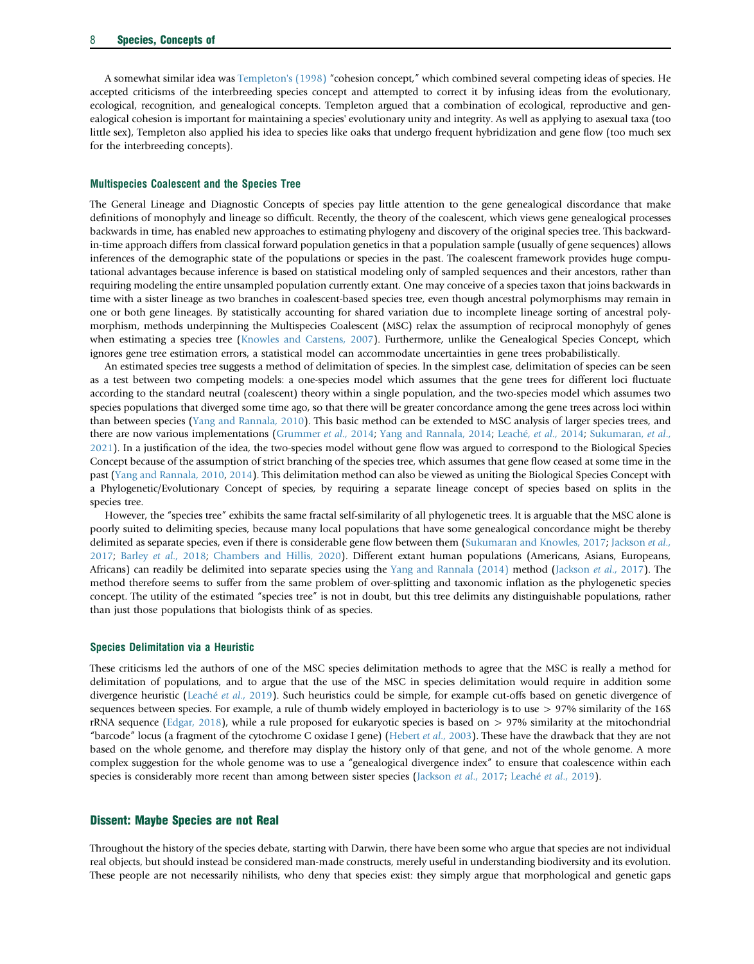<span id="page-7-0"></span>A somewhat similar idea was [Templeton](#page-14-0)'s (1998) "cohesion concept," which combined several competing ideas of species. He accepted criticisms of the interbreeding species concept and attempted to correct it by infusing ideas from the evolutionary, ecological, recognition, and genealogical concepts. Templeton argued that a combination of ecological, reproductive and genealogical cohesion is important for maintaining a species' evolutionary unity and integrity. As well as applying to asexual taxa (too little sex), Templeton also applied his idea to species like oaks that undergo frequent hybridization and gene flow (too much sex for the interbreeding concepts).

#### Multispecies Coalescent and the Species Tree

The General Lineage and Diagnostic Concepts of species pay little attention to the gene genealogical discordance that make definitions of monophyly and lineage so difficult. Recently, the theory of the coalescent, which views gene genealogical processes backwards in time, has enabled new approaches to estimating phylogeny and discovery of the original species tree. This backwardin-time approach differs from classical forward population genetics in that a population sample (usually of gene sequences) allows inferences of the demographic state of the populations or species in the past. The coalescent framework provides huge computational advantages because inference is based on statistical modeling only of sampled sequences and their ancestors, rather than requiring modeling the entire unsampled population currently extant. One may conceive of a species taxon that joins backwards in time with a sister lineage as two branches in coalescent-based species tree, even though ancestral polymorphisms may remain in one or both gene lineages. By statistically accounting for shared variation due to incomplete lineage sorting of ancestral polymorphism, methods underpinning the Multispecies Coalescent (MSC) relax the assumption of reciprocal monophyly of genes when estimating a species tree ([Knowles and Carstens, 2007](#page-13-0)). Furthermore, unlike the Genealogical Species Concept, which ignores gene tree estimation errors, a statistical model can accommodate uncertainties in gene trees probabilistically.

An estimated species tree suggests a method of delimitation of species. In the simplest case, delimitation of species can be seen as a test between two competing models: a one-species model which assumes that the gene trees for different loci fluctuate according to the standard neutral (coalescent) theory within a single population, and the two-species model which assumes two species populations that diverged some time ago, so that there will be greater concordance among the gene trees across loci within than between species ([Yang and Rannala, 2010\)](#page-14-0). This basic method can be extended to MSC analysis of larger species trees, and there are now various implementations ([Grummer](#page-13-0) et al., 2014; [Yang and Rannala, 2014](#page-14-0); [Leaché,](#page-13-0) et al., 2014; [Sukumaran,](#page-14-0) et al., [2021\)](#page-14-0). In a justification of the idea, the two-species model without gene flow was argued to correspond to the Biological Species Concept because of the assumption of strict branching of the species tree, which assumes that gene flow ceased at some time in the past [\(Yang and Rannala, 2010](#page-14-0), [2014\)](#page-14-0). This delimitation method can also be viewed as uniting the Biological Species Concept with a Phylogenetic/Evolutionary Concept of species, by requiring a separate lineage concept of species based on splits in the species tree.

However, the "species tree" exhibits the same fractal self-similarity of all phylogenetic trees. It is arguable that the MSC alone is poorly suited to delimiting species, because many local populations that have some genealogical concordance might be thereby delimited as separate species, even if there is considerable gene flow between them [\(Sukumaran and Knowles, 2017](#page-14-0); [Jackson](#page-13-0) et al., [2017;](#page-13-0) Barley et al[., 2018](#page-13-0); [Chambers and Hillis, 2020](#page-13-0)). Different extant human populations (Americans, Asians, Europeans, Africans) can readily be delimited into separate species using the [Yang and Rannala \(2014\)](#page-14-0) method [\(Jackson](#page-13-0) et al., 2017). The method therefore seems to suffer from the same problem of over-splitting and taxonomic inflation as the phylogenetic species concept. The utility of the estimated "species tree" is not in doubt, but this tree delimits any distinguishable populations, rather than just those populations that biologists think of as species.

#### Species Delimitation via a Heuristic

These criticisms led the authors of one of the MSC species delimitation methods to agree that the MSC is really a method for delimitation of populations, and to argue that the use of the MSC in species delimitation would require in addition some divergence heuristic (Leaché et al[., 2019](#page-13-0)). Such heuristics could be simple, for example cut-offs based on genetic divergence of sequences between species. For example, a rule of thumb widely employed in bacteriology is to use > 97% similarity of the 16S rRNA sequence [\(Edgar, 2018\)](#page-13-0), while a rule proposed for eukaryotic species is based on  $> 97%$  similarity at the mitochondrial "barcode" locus (a fragment of the cytochrome C oxidase I gene) (Hebert et al[., 2003](#page-13-0)). These have the drawback that they are not based on the whole genome, and therefore may display the history only of that gene, and not of the whole genome. A more complex suggestion for the whole genome was to use a "genealogical divergence index" to ensure that coalescence within each species is considerably more recent than among between sister species ([Jackson](#page-13-0) et al., 2017; Leaché et al[., 2019\)](#page-13-0).

# Dissent: Maybe Species are not Real

Throughout the history of the species debate, starting with Darwin, there have been some who argue that species are not individual real objects, but should instead be considered man-made constructs, merely useful in understanding biodiversity and its evolution. These people are not necessarily nihilists, who deny that species exist: they simply argue that morphological and genetic gaps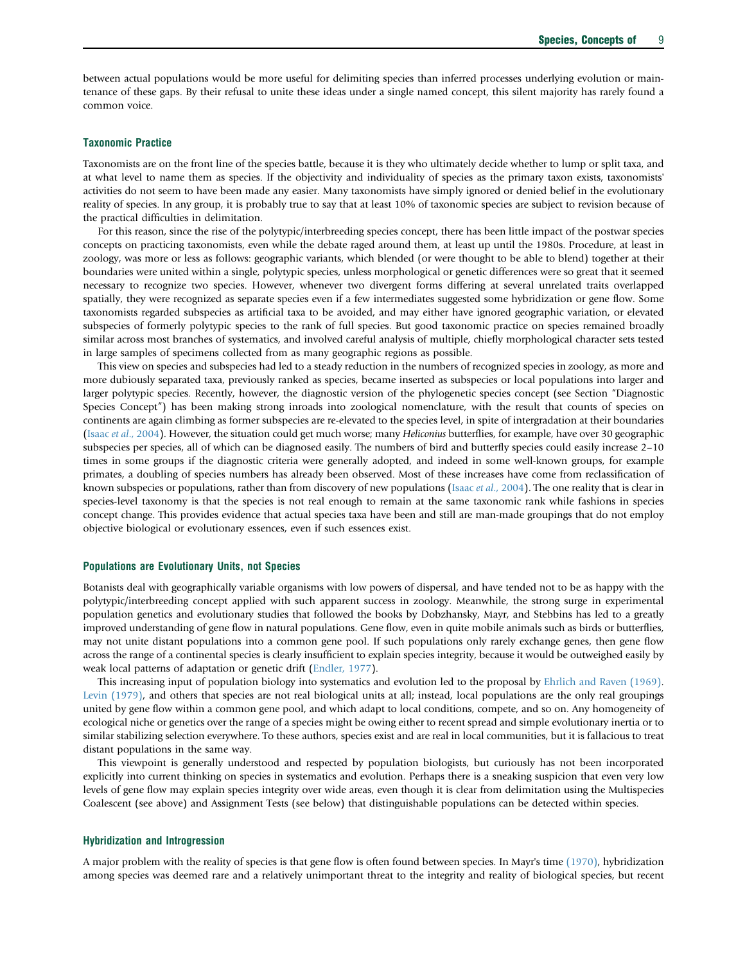between actual populations would be more useful for delimiting species than inferred processes underlying evolution or maintenance of these gaps. By their refusal to unite these ideas under a single named concept, this silent majority has rarely found a common voice.

# Taxonomic Practice

Taxonomists are on the front line of the species battle, because it is they who ultimately decide whether to lump or split taxa, and at what level to name them as species. If the objectivity and individuality of species as the primary taxon exists, taxonomists' activities do not seem to have been made any easier. Many taxonomists have simply ignored or denied belief in the evolutionary reality of species. In any group, it is probably true to say that at least 10% of taxonomic species are subject to revision because of the practical difficulties in delimitation.

For this reason, since the rise of the polytypic/interbreeding species concept, there has been little impact of the postwar species concepts on practicing taxonomists, even while the debate raged around them, at least up until the 1980s. Procedure, at least in zoology, was more or less as follows: geographic variants, which blended (or were thought to be able to blend) together at their boundaries were united within a single, polytypic species, unless morphological or genetic differences were so great that it seemed necessary to recognize two species. However, whenever two divergent forms differing at several unrelated traits overlapped spatially, they were recognized as separate species even if a few intermediates suggested some hybridization or gene flow. Some taxonomists regarded subspecies as artificial taxa to be avoided, and may either have ignored geographic variation, or elevated subspecies of formerly polytypic species to the rank of full species. But good taxonomic practice on species remained broadly similar across most branches of systematics, and involved careful analysis of multiple, chiefly morphological character sets tested in large samples of specimens collected from as many geographic regions as possible.

This view on species and subspecies had led to a steady reduction in the numbers of recognized species in zoology, as more and more dubiously separated taxa, previously ranked as species, became inserted as subspecies or local populations into larger and larger polytypic species. Recently, however, the diagnostic version of the phylogenetic species concept (see Section "[Diagnostic](#page-5-0) [Species Concept](#page-5-0)") has been making strong inroads into zoological nomenclature, with the result that counts of species on continents are again climbing as former subspecies are re-elevated to the species level, in spite of intergradation at their boundaries (Isaac et al[., 2004\)](#page-13-0). However, the situation could get much worse; many Heliconius butterflies, for example, have over 30 geographic subspecies per species, all of which can be diagnosed easily. The numbers of bird and butterfly species could easily increase 2–10 times in some groups if the diagnostic criteria were generally adopted, and indeed in some well-known groups, for example primates, a doubling of species numbers has already been observed. Most of these increases have come from reclassification of known subspecies or populations, rather than from discovery of new populations (Isaac et al[., 2004\)](#page-13-0). The one reality that is clear in species-level taxonomy is that the species is not real enough to remain at the same taxonomic rank while fashions in species concept change. This provides evidence that actual species taxa have been and still are man-made groupings that do not employ objective biological or evolutionary essences, even if such essences exist.

#### Populations are Evolutionary Units, not Species

Botanists deal with geographically variable organisms with low powers of dispersal, and have tended not to be as happy with the polytypic/interbreeding concept applied with such apparent success in zoology. Meanwhile, the strong surge in experimental population genetics and evolutionary studies that followed the books by Dobzhansky, Mayr, and Stebbins has led to a greatly improved understanding of gene flow in natural populations. Gene flow, even in quite mobile animals such as birds or butterflies, may not unite distant populations into a common gene pool. If such populations only rarely exchange genes, then gene flow across the range of a continental species is clearly insufficient to explain species integrity, because it would be outweighed easily by weak local patterns of adaptation or genetic drift [\(Endler, 1977\)](#page-13-0).

This increasing input of population biology into systematics and evolution led to the proposal by [Ehrlich and Raven \(1969\)](#page-13-0). [Levin \(1979\),](#page-13-0) and others that species are not real biological units at all; instead, local populations are the only real groupings united by gene flow within a common gene pool, and which adapt to local conditions, compete, and so on. Any homogeneity of ecological niche or genetics over the range of a species might be owing either to recent spread and simple evolutionary inertia or to similar stabilizing selection everywhere. To these authors, species exist and are real in local communities, but it is fallacious to treat distant populations in the same way.

This viewpoint is generally understood and respected by population biologists, but curiously has not been incorporated explicitly into current thinking on species in systematics and evolution. Perhaps there is a sneaking suspicion that even very low levels of gene flow may explain species integrity over wide areas, even though it is clear from delimitation using the Multispecies Coalescent (see above) and Assignment Tests (see below) that distinguishable populations can be detected within species.

## Hybridization and Introgression

A major problem with the reality of species is that gene flow is often found between species. In Mayr's time [\(1970\)](#page-14-0), hybridization among species was deemed rare and a relatively unimportant threat to the integrity and reality of biological species, but recent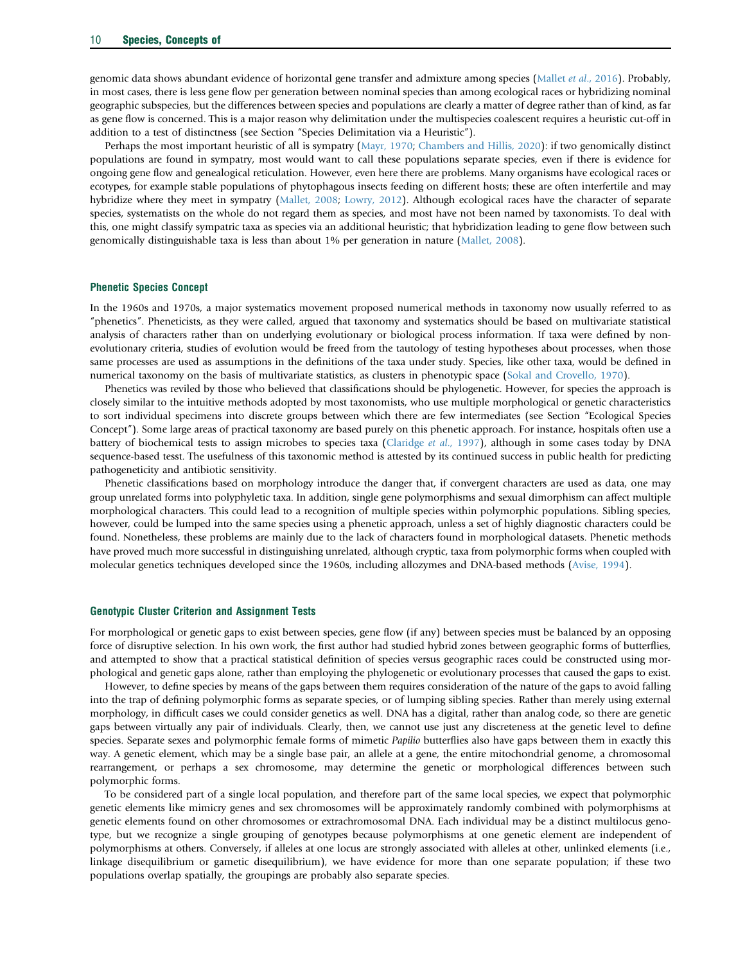<span id="page-9-0"></span>genomic data shows abundant evidence of horizontal gene transfer and admixture among species (Mallet et al[., 2016\)](#page-14-0). Probably, in most cases, there is less gene flow per generation between nominal species than among ecological races or hybridizing nominal geographic subspecies, but the differences between species and populations are clearly a matter of degree rather than of kind, as far as gene flow is concerned. This is a major reason why delimitation under the multispecies coalescent requires a heuristic cut-off in addition to a test of distinctness (see Section "[Species Delimitation via a Heuristic](#page-7-0)").

Perhaps the most important heuristic of all is sympatry [\(Mayr, 1970](#page-14-0); [Chambers and Hillis, 2020](#page-13-0)): if two genomically distinct populations are found in sympatry, most would want to call these populations separate species, even if there is evidence for ongoing gene flow and genealogical reticulation. However, even here there are problems. Many organisms have ecological races or ecotypes, for example stable populations of phytophagous insects feeding on different hosts; these are often interfertile and may hybridize where they meet in sympatry [\(Mallet, 2008](#page-13-0); [Lowry, 2012](#page-13-0)). Although ecological races have the character of separate species, systematists on the whole do not regard them as species, and most have not been named by taxonomists. To deal with this, one might classify sympatric taxa as species via an additional heuristic; that hybridization leading to gene flow between such genomically distinguishable taxa is less than about 1% per generation in nature ([Mallet, 2008](#page-13-0)).

#### Phenetic Species Concept

In the 1960s and 1970s, a major systematics movement proposed numerical methods in taxonomy now usually referred to as "phenetics". Pheneticists, as they were called, argued that taxonomy and systematics should be based on multivariate statistical analysis of characters rather than on underlying evolutionary or biological process information. If taxa were defined by nonevolutionary criteria, studies of evolution would be freed from the tautology of testing hypotheses about processes, when those same processes are used as assumptions in the definitions of the taxa under study. Species, like other taxa, would be defined in numerical taxonomy on the basis of multivariate statistics, as clusters in phenotypic space ([Sokal and Crovello, 1970](#page-14-0)).

Phenetics was reviled by those who believed that classifications should be phylogenetic. However, for species the approach is closely similar to the intuitive methods adopted by most taxonomists, who use multiple morphological or genetic characteristics to sort individual specimens into discrete groups between which there are few intermediates (see Section "[Ecological Species](#page-4-0) [Concept](#page-4-0)"). Some large areas of practical taxonomy are based purely on this phenetic approach. For instance, hospitals often use a battery of biochemical tests to assign microbes to species taxa ([Claridge](#page-13-0) et al., 1997), although in some cases today by DNA sequence-based tesst. The usefulness of this taxonomic method is attested by its continued success in public health for predicting pathogeneticity and antibiotic sensitivity.

Phenetic classifications based on morphology introduce the danger that, if convergent characters are used as data, one may group unrelated forms into polyphyletic taxa. In addition, single gene polymorphisms and sexual dimorphism can affect multiple morphological characters. This could lead to a recognition of multiple species within polymorphic populations. Sibling species, however, could be lumped into the same species using a phenetic approach, unless a set of highly diagnostic characters could be found. Nonetheless, these problems are mainly due to the lack of characters found in morphological datasets. Phenetic methods have proved much more successful in distinguishing unrelated, although cryptic, taxa from polymorphic forms when coupled with molecular genetics techniques developed since the 1960s, including allozymes and DNA-based methods ([Avise, 1994](#page-13-0)).

# Genotypic Cluster Criterion and Assignment Tests

For morphological or genetic gaps to exist between species, gene flow (if any) between species must be balanced by an opposing force of disruptive selection. In his own work, the first author had studied hybrid zones between geographic forms of butterflies, and attempted to show that a practical statistical definition of species versus geographic races could be constructed using morphological and genetic gaps alone, rather than employing the phylogenetic or evolutionary processes that caused the gaps to exist.

However, to define species by means of the gaps between them requires consideration of the nature of the gaps to avoid falling into the trap of defining polymorphic forms as separate species, or of lumping sibling species. Rather than merely using external morphology, in difficult cases we could consider genetics as well. DNA has a digital, rather than analog code, so there are genetic gaps between virtually any pair of individuals. Clearly, then, we cannot use just any discreteness at the genetic level to define species. Separate sexes and polymorphic female forms of mimetic Papilio butterflies also have gaps between them in exactly this way. A genetic element, which may be a single base pair, an allele at a gene, the entire mitochondrial genome, a chromosomal rearrangement, or perhaps a sex chromosome, may determine the genetic or morphological differences between such polymorphic forms.

To be considered part of a single local population, and therefore part of the same local species, we expect that polymorphic genetic elements like mimicry genes and sex chromosomes will be approximately randomly combined with polymorphisms at genetic elements found on other chromosomes or extrachromosomal DNA. Each individual may be a distinct multilocus genotype, but we recognize a single grouping of genotypes because polymorphisms at one genetic element are independent of polymorphisms at others. Conversely, if alleles at one locus are strongly associated with alleles at other, unlinked elements (i.e., linkage disequilibrium or gametic disequilibrium), we have evidence for more than one separate population; if these two populations overlap spatially, the groupings are probably also separate species.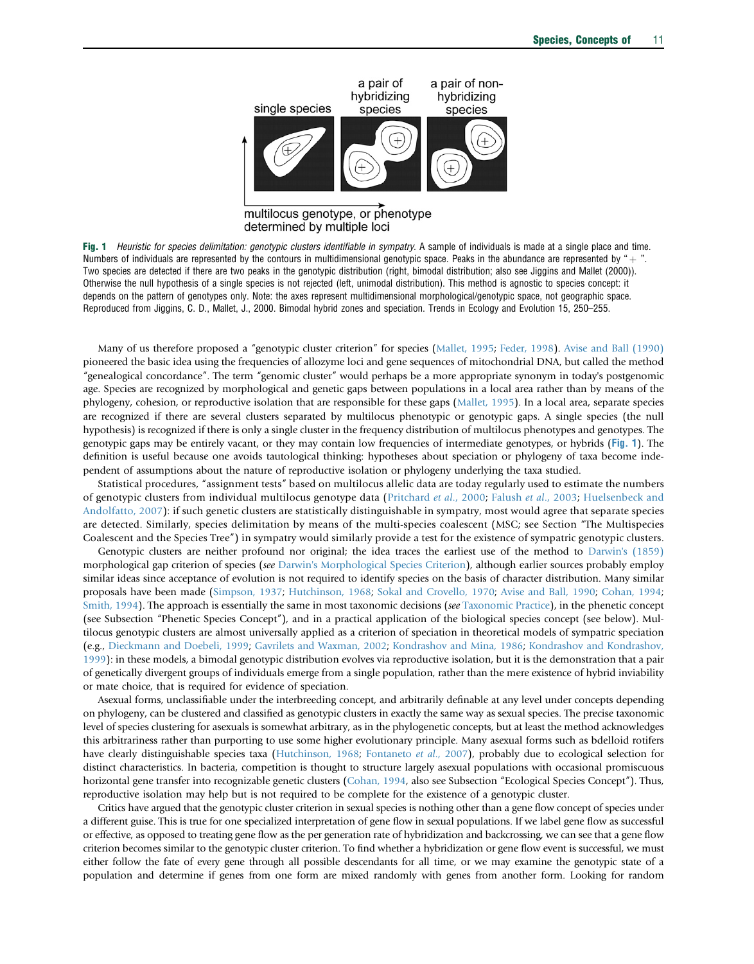<span id="page-10-0"></span>

multilocus genotype, or phenotype determined by multiple loci

Fig. 1 Heuristic for species delimitation: genotypic clusters identifiable in sympatry. A sample of individuals is made at a single place and time. Numbers of individuals are represented by the contours in multidimensional genotypic space. Peaks in the abundance are represented by " $+$  ". Two species are detected if there are two peaks in the genotypic distribution (right, bimodal distribution; also see Jiggins and Mallet (2000)). Otherwise the null hypothesis of a single species is not rejected (left, unimodal distribution). This method is agnostic to species concept: it depends on the pattern of genotypes only. Note: the axes represent multidimensional morphological/genotypic space, not geographic space. Reproduced from Jiggins, C. D., Mallet, J., 2000. Bimodal hybrid zones and speciation. Trends in Ecology and Evolution 15, 250–255.

Many of us therefore proposed a "genotypic cluster criterion" for species [\(Mallet, 1995](#page-13-0); [Feder, 1998\)](#page-13-0). [Avise and Ball \(1990\)](#page-13-0) pioneered the basic idea using the frequencies of allozyme loci and gene sequences of mitochondrial DNA, but called the method "genealogical concordance". The term "genomic cluster" would perhaps be a more appropriate synonym in today's postgenomic age. Species are recognized by morphological and genetic gaps between populations in a local area rather than by means of the phylogeny, cohesion, or reproductive isolation that are responsible for these gaps [\(Mallet, 1995\)](#page-13-0). In a local area, separate species are recognized if there are several clusters separated by multilocus phenotypic or genotypic gaps. A single species (the null hypothesis) is recognized if there is only a single cluster in the frequency distribution of multilocus phenotypes and genotypes. The genotypic gaps may be entirely vacant, or they may contain low frequencies of intermediate genotypes, or hybrids (Fig. 1). The definition is useful because one avoids tautological thinking: hypotheses about speciation or phylogeny of taxa become independent of assumptions about the nature of reproductive isolation or phylogeny underlying the taxa studied.

Statistical procedures, "assignment tests" based on multilocus allelic data are today regularly used to estimate the numbers of genotypic clusters from individual multilocus genotype data ([Pritchard](#page-14-0) et al., 2000; Falush et al[., 2003;](#page-13-0) [Huelsenbeck and](#page-13-0) [Andolfatto, 2007](#page-13-0)): if such genetic clusters are statistically distinguishable in sympatry, most would agree that separate species are detected. Similarly, species delimitation by means of the multi-species coalescent (MSC; see Section "[The Multispecies](#page-7-0) [Coalescent and the Species Tree](#page-7-0)") in sympatry would similarly provide a test for the existence of sympatric genotypic clusters.

Genotypic clusters are neither profound nor original; the idea traces the earliest use of the method to Darwin'[s \(1859\)](#page-13-0) morphological gap criterion of species (see Darwin's Morphological Species Criterion), although earlier sources probably employ similar ideas since acceptance of evolution is not required to identify species on the basis of character distribution. Many similar proposals have been made [\(Simpson, 1937](#page-14-0); [Hutchinson, 1968](#page-13-0); [Sokal and Crovello, 1970;](#page-14-0) [Avise and Ball, 1990](#page-13-0); [Cohan, 1994](#page-13-0); [Smith, 1994](#page-14-0)). The approach is essentially the same in most taxonomic decisions (see Taxonomic Practice), in the phenetic concept (see Subsection "[Phenetic Species Concept](#page-9-0)"), and in a practical application of the biological species concept (see below). Multilocus genotypic clusters are almost universally applied as a criterion of speciation in theoretical models of sympatric speciation (e.g., [Dieckmann and Doebeli, 1999;](#page-13-0) [Gavrilets and Waxman, 2002](#page-13-0); [Kondrashov and Mina, 1986;](#page-13-0) [Kondrashov and Kondrashov,](#page-13-0) [1999](#page-13-0)): in these models, a bimodal genotypic distribution evolves via reproductive isolation, but it is the demonstration that a pair of genetically divergent groups of individuals emerge from a single population, rather than the mere existence of hybrid inviability or mate choice, that is required for evidence of speciation.

Asexual forms, unclassifiable under the interbreeding concept, and arbitrarily definable at any level under concepts depending on phylogeny, can be clustered and classified as genotypic clusters in exactly the same way as sexual species. The precise taxonomic level of species clustering for asexuals is somewhat arbitrary, as in the phylogenetic concepts, but at least the method acknowledges this arbitrariness rather than purporting to use some higher evolutionary principle. Many asexual forms such as bdelloid rotifers have clearly distinguishable species taxa [\(Hutchinson, 1968;](#page-13-0) [Fontaneto](#page-13-0) et al., 2007), probably due to ecological selection for distinct characteristics. In bacteria, competition is thought to structure largely asexual populations with occasional promiscuous horizontal gene transfer into recognizable genetic clusters ([Cohan, 1994,](#page-13-0) also see Subsection "[Ecological Species Concept](#page-4-0)"). Thus, reproductive isolation may help but is not required to be complete for the existence of a genotypic cluster.

Critics have argued that the genotypic cluster criterion in sexual species is nothing other than a gene flow concept of species under a different guise. This is true for one specialized interpretation of gene flow in sexual populations. If we label gene flow as successful or effective, as opposed to treating gene flow as the per generation rate of hybridization and backcrossing, we can see that a gene flow criterion becomes similar to the genotypic cluster criterion. To find whether a hybridization or gene flow event is successful, we must either follow the fate of every gene through all possible descendants for all time, or we may examine the genotypic state of a population and determine if genes from one form are mixed randomly with genes from another form. Looking for random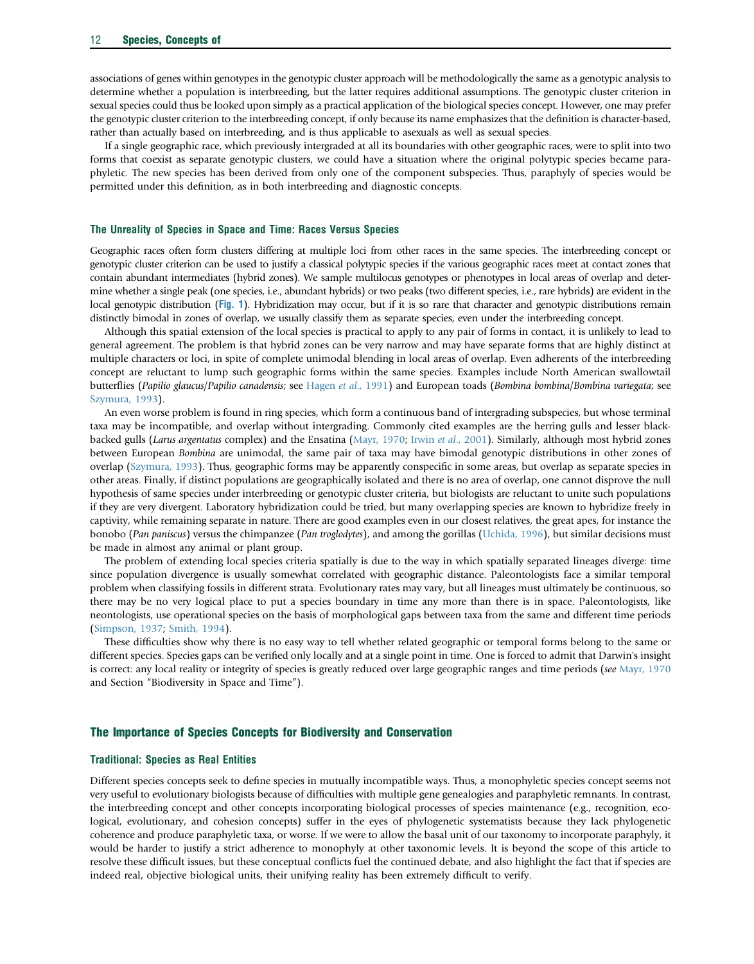associations of genes within genotypes in the genotypic cluster approach will be methodologically the same as a genotypic analysis to determine whether a population is interbreeding, but the latter requires additional assumptions. The genotypic cluster criterion in sexual species could thus be looked upon simply as a practical application of the biological species concept. However, one may prefer the genotypic cluster criterion to the interbreeding concept, if only because its name emphasizes that the definition is character-based, rather than actually based on interbreeding, and is thus applicable to asexuals as well as sexual species.

If a single geographic race, which previously intergraded at all its boundaries with other geographic races, were to split into two forms that coexist as separate genotypic clusters, we could have a situation where the original polytypic species became paraphyletic. The new species has been derived from only one of the component subspecies. Thus, paraphyly of species would be permitted under this definition, as in both interbreeding and diagnostic concepts.

#### The Unreality of Species in Space and Time: Races Versus Species

Geographic races often form clusters differing at multiple loci from other races in the same species. The interbreeding concept or genotypic cluster criterion can be used to justify a classical polytypic species if the various geographic races meet at contact zones that contain abundant intermediates (hybrid zones). We sample multilocus genotypes or phenotypes in local areas of overlap and determine whether a single peak (one species, i.e., abundant hybrids) or two peaks (two different species, i.e., rare hybrids) are evident in the local genotypic distribution ([Fig. 1](#page-10-0)). Hybridization may occur, but if it is so rare that character and genotypic distributions remain distinctly bimodal in zones of overlap, we usually classify them as separate species, even under the interbreeding concept.

Although this spatial extension of the local species is practical to apply to any pair of forms in contact, it is unlikely to lead to general agreement. The problem is that hybrid zones can be very narrow and may have separate forms that are highly distinct at multiple characters or loci, in spite of complete unimodal blending in local areas of overlap. Even adherents of the interbreeding concept are reluctant to lump such geographic forms within the same species. Examples include North American swallowtail butterflies (Papilio glaucus/Papilio canadensis; see Hagen et al[., 1991](#page-13-0)) and European toads (Bombina bombina/Bombina variegata; see [Szymura, 1993](#page-14-0)).

An even worse problem is found in ring species, which form a continuous band of intergrading subspecies, but whose terminal taxa may be incompatible, and overlap without intergrading. Commonly cited examples are the herring gulls and lesser blackbacked gulls (Larus argentatus complex) and the Ensatina [\(Mayr, 1970;](#page-14-0) Irwin et al[., 2001\)](#page-13-0). Similarly, although most hybrid zones between European Bombina are unimodal, the same pair of taxa may have bimodal genotypic distributions in other zones of overlap [\(Szymura, 1993\)](#page-14-0). Thus, geographic forms may be apparently conspecific in some areas, but overlap as separate species in other areas. Finally, if distinct populations are geographically isolated and there is no area of overlap, one cannot disprove the null hypothesis of same species under interbreeding or genotypic cluster criteria, but biologists are reluctant to unite such populations if they are very divergent. Laboratory hybridization could be tried, but many overlapping species are known to hybridize freely in captivity, while remaining separate in nature. There are good examples even in our closest relatives, the great apes, for instance the bonobo (Pan paniscus) versus the chimpanzee (Pan troglodytes), and among the gorillas [\(Uchida, 1996](#page-14-0)), but similar decisions must be made in almost any animal or plant group.

The problem of extending local species criteria spatially is due to the way in which spatially separated lineages diverge: time since population divergence is usually somewhat correlated with geographic distance. Paleontologists face a similar temporal problem when classifying fossils in different strata. Evolutionary rates may vary, but all lineages must ultimately be continuous, so there may be no very logical place to put a species boundary in time any more than there is in space. Paleontologists, like neontologists, use operational species on the basis of morphological gaps between taxa from the same and different time periods ([Simpson, 1937](#page-14-0); [Smith, 1994\)](#page-14-0).

These difficulties show why there is no easy way to tell whether related geographic or temporal forms belong to the same or different species. Species gaps can be verified only locally and at a single point in time. One is forced to admit that Darwin's insight is correct: any local reality or integrity of species is greatly reduced over large geographic ranges and time periods (see [Mayr, 1970](#page-14-0) and Section "[Biodiversity in Space and Time](#page-12-0)").

# The Importance of Species Concepts for Biodiversity and Conservation

# Traditional: Species as Real Entities

Different species concepts seek to define species in mutually incompatible ways. Thus, a monophyletic species concept seems not very useful to evolutionary biologists because of difficulties with multiple gene genealogies and paraphyletic remnants. In contrast, the interbreeding concept and other concepts incorporating biological processes of species maintenance (e.g., recognition, ecological, evolutionary, and cohesion concepts) suffer in the eyes of phylogenetic systematists because they lack phylogenetic coherence and produce paraphyletic taxa, or worse. If we were to allow the basal unit of our taxonomy to incorporate paraphyly, it would be harder to justify a strict adherence to monophyly at other taxonomic levels. It is beyond the scope of this article to resolve these difficult issues, but these conceptual conflicts fuel the continued debate, and also highlight the fact that if species are indeed real, objective biological units, their unifying reality has been extremely difficult to verify.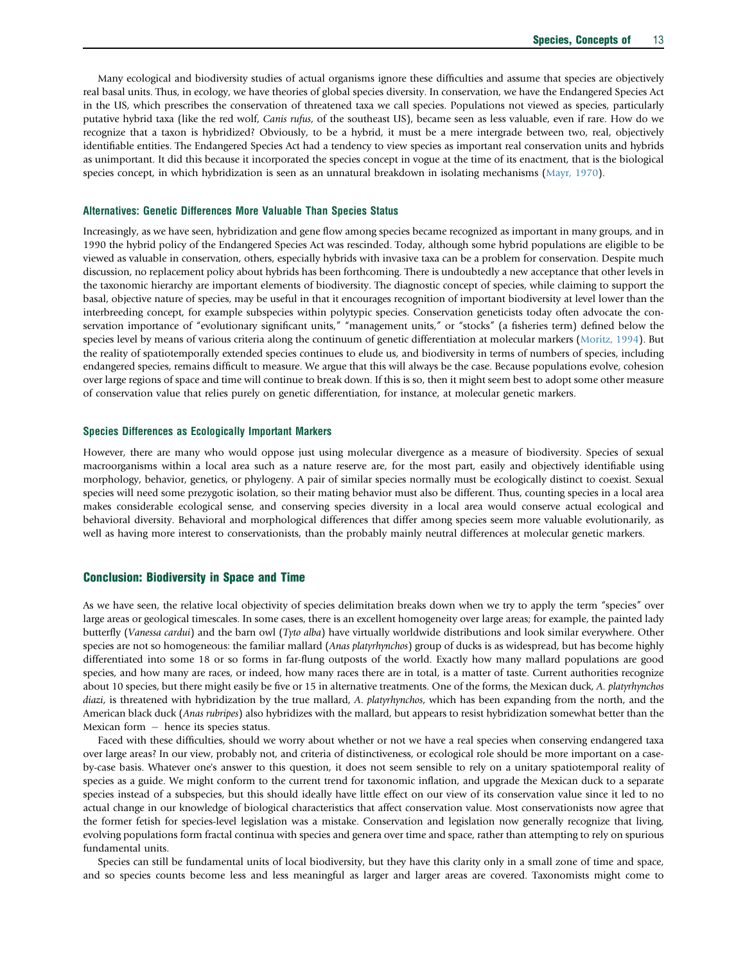<span id="page-12-0"></span>Many ecological and biodiversity studies of actual organisms ignore these difficulties and assume that species are objectively real basal units. Thus, in ecology, we have theories of global species diversity. In conservation, we have the Endangered Species Act in the US, which prescribes the conservation of threatened taxa we call species. Populations not viewed as species, particularly putative hybrid taxa (like the red wolf, Canis rufus, of the southeast US), became seen as less valuable, even if rare. How do we recognize that a taxon is hybridized? Obviously, to be a hybrid, it must be a mere intergrade between two, real, objectively identifiable entities. The Endangered Species Act had a tendency to view species as important real conservation units and hybrids as unimportant. It did this because it incorporated the species concept in vogue at the time of its enactment, that is the biological species concept, in which hybridization is seen as an unnatural breakdown in isolating mechanisms ([Mayr, 1970\)](#page-14-0).

#### Alternatives: Genetic Differences More Valuable Than Species Status

Increasingly, as we have seen, hybridization and gene flow among species became recognized as important in many groups, and in 1990 the hybrid policy of the Endangered Species Act was rescinded. Today, although some hybrid populations are eligible to be viewed as valuable in conservation, others, especially hybrids with invasive taxa can be a problem for conservation. Despite much discussion, no replacement policy about hybrids has been forthcoming. There is undoubtedly a new acceptance that other levels in the taxonomic hierarchy are important elements of biodiversity. The diagnostic concept of species, while claiming to support the basal, objective nature of species, may be useful in that it encourages recognition of important biodiversity at level lower than the interbreeding concept, for example subspecies within polytypic species. Conservation geneticists today often advocate the conservation importance of "evolutionary significant units," "management units," or "stocks" (a fisheries term) defined below the species level by means of various criteria along the continuum of genetic differentiation at molecular markers [\(Moritz, 1994\)](#page-14-0). But the reality of spatiotemporally extended species continues to elude us, and biodiversity in terms of numbers of species, including endangered species, remains difficult to measure. We argue that this will always be the case. Because populations evolve, cohesion over large regions of space and time will continue to break down. If this is so, then it might seem best to adopt some other measure of conservation value that relies purely on genetic differentiation, for instance, at molecular genetic markers.

# Species Differences as Ecologically Important Markers

However, there are many who would oppose just using molecular divergence as a measure of biodiversity. Species of sexual macroorganisms within a local area such as a nature reserve are, for the most part, easily and objectively identifiable using morphology, behavior, genetics, or phylogeny. A pair of similar species normally must be ecologically distinct to coexist. Sexual species will need some prezygotic isolation, so their mating behavior must also be different. Thus, counting species in a local area makes considerable ecological sense, and conserving species diversity in a local area would conserve actual ecological and behavioral diversity. Behavioral and morphological differences that differ among species seem more valuable evolutionarily, as well as having more interest to conservationists, than the probably mainly neutral differences at molecular genetic markers.

## Conclusion: Biodiversity in Space and Time

As we have seen, the relative local objectivity of species delimitation breaks down when we try to apply the term "species" over large areas or geological timescales. In some cases, there is an excellent homogeneity over large areas; for example, the painted lady butterfly (Vanessa cardui) and the barn owl (Tyto alba) have virtually worldwide distributions and look similar everywhere. Other species are not so homogeneous: the familiar mallard (Anas platyrhynchos) group of ducks is as widespread, but has become highly differentiated into some 18 or so forms in far-flung outposts of the world. Exactly how many mallard populations are good species, and how many are races, or indeed, how many races there are in total, is a matter of taste. Current authorities recognize about 10 species, but there might easily be five or 15 in alternative treatments. One of the forms, the Mexican duck, A. platyrhynchos diazi, is threatened with hybridization by the true mallard, A. platyrhynchos, which has been expanding from the north, and the American black duck (Anas rubripes) also hybridizes with the mallard, but appears to resist hybridization somewhat better than the Mexican form  $-$  hence its species status.

Faced with these difficulties, should we worry about whether or not we have a real species when conserving endangered taxa over large areas? In our view, probably not, and criteria of distinctiveness, or ecological role should be more important on a caseby-case basis. Whatever one's answer to this question, it does not seem sensible to rely on a unitary spatiotemporal reality of species as a guide. We might conform to the current trend for taxonomic inflation, and upgrade the Mexican duck to a separate species instead of a subspecies, but this should ideally have little effect on our view of its conservation value since it led to no actual change in our knowledge of biological characteristics that affect conservation value. Most conservationists now agree that the former fetish for species-level legislation was a mistake. Conservation and legislation now generally recognize that living, evolving populations form fractal continua with species and genera over time and space, rather than attempting to rely on spurious fundamental units.

Species can still be fundamental units of local biodiversity, but they have this clarity only in a small zone of time and space, and so species counts become less and less meaningful as larger and larger areas are covered. Taxonomists might come to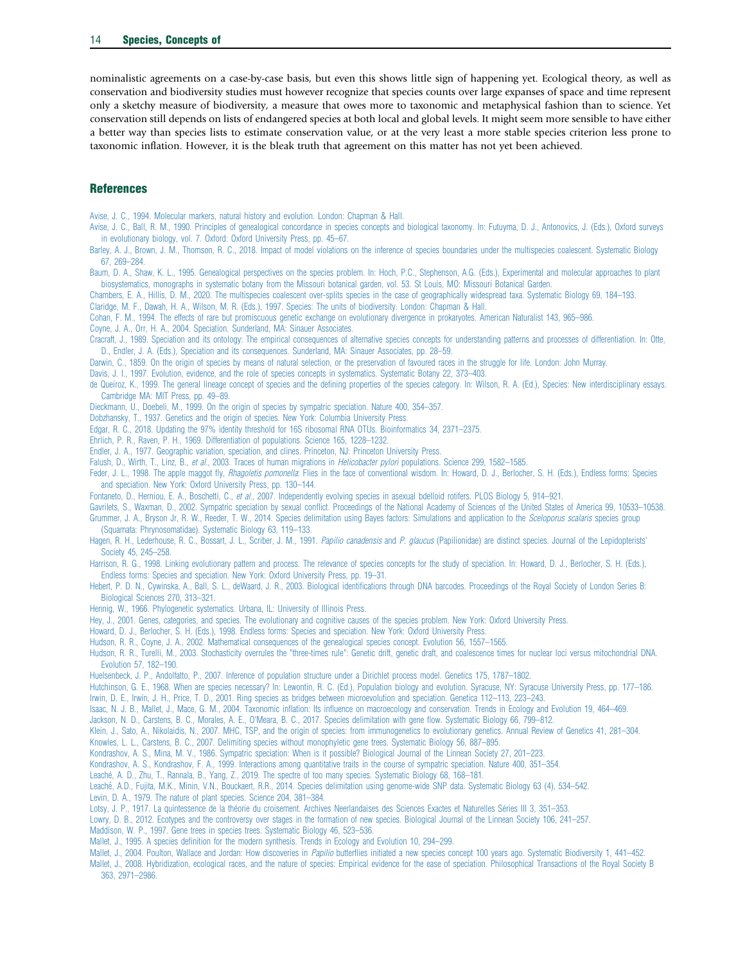<span id="page-13-0"></span>nominalistic agreements on a case-by-case basis, but even this shows little sign of happening yet. Ecological theory, as well as conservation and biodiversity studies must however recognize that species counts over large expanses of space and time represent only a sketchy measure of biodiversity, a measure that owes more to taxonomic and metaphysical fashion than to science. Yet conservation still depends on lists of endangered species at both local and global levels. It might seem more sensible to have either a better way than species lists to estimate conservation value, or at the very least a more stable species criterion less prone to taxonomic inflation. However, it is the bleak truth that agreement on this matter has not yet been achieved.

# References

[Avise, J. C., 1994. Molecular markers, natural history and evolution. London: Chapman & Hall.](http://refhub.elsevier.com/B978-0-12-822562-2.00022-0/sbref1)

[Avise, J. C., Ball, R. M., 1990. Principles of genealogical concordance in species concepts and biological taxonomy. In: Futuyma, D. J., Antonovics,](http://refhub.elsevier.com/B978-0-12-822562-2.00022-0/sbref2) J. (Eds.), Oxford surveys [in evolutionary biology, vol. 7. Oxford: Oxford University Press, pp. 45](http://refhub.elsevier.com/B978-0-12-822562-2.00022-0/sbref2)–67.

[Barley, A. J., Brown, J. M., Thomson, R. C., 2018. Impact of model violations on the inference of species boundaries under the multispecies coalescent. Systematic Biology](http://refhub.elsevier.com/B978-0-12-822562-2.00022-0/sbref3) [67, 269](http://refhub.elsevier.com/B978-0-12-822562-2.00022-0/sbref3)–284.

[Baum, D. A., Shaw, K. L., 1995. Genealogical perspectives on the species problem. In: Hoch, P.C., Stephenson, A.G. \(Eds.\), Experimental and molecular approaches to plant](http://refhub.elsevier.com/B978-0-12-822562-2.00022-0/sbref4) [biosystematics, monographs in systematic botany from the Missouri botanical garden, vol. 53. St Louis, MO: Missouri Botanical Garden.](http://refhub.elsevier.com/B978-0-12-822562-2.00022-0/sbref4)

[Chambers, E. A., Hillis, D. M., 2020. The multispecies coalescent over-splits species in the case of geographically widespread taxa. Systematic Biology 69, 184](http://refhub.elsevier.com/B978-0-12-822562-2.00022-0/sbref5)–193. [Claridge, M. F., Dawah, H. A., Wilson, M. R. \(Eds.\), 1997. Species: The units of biodiversity. London: Chapman & Hall.](http://refhub.elsevier.com/B978-0-12-822562-2.00022-0/sbref6)

[Cohan, F. M., 1994. The effects of rare but promiscuous genetic exchange on evolutionary divergence in prokaryotes. American Naturalist 143, 965](http://refhub.elsevier.com/B978-0-12-822562-2.00022-0/sbref7)–986.

[Coyne, J. A., Orr, H. A., 2004. Speciation. Sunderland, MA: Sinauer Associates.](http://refhub.elsevier.com/B978-0-12-822562-2.00022-0/sbref8)

[Cracraft, J., 1989. Speciation and its ontology: The empirical consequences of alternative species concepts for understanding patterns and processes of differentiation. In: Otte,](http://refhub.elsevier.com/B978-0-12-822562-2.00022-0/sbref9) [D., Endler, J. A. \(Eds.\), Speciation and its consequences. Sunderland, MA: Sinauer Associates, pp. 28](http://refhub.elsevier.com/B978-0-12-822562-2.00022-0/sbref9)–59.

[Darwin, C., 1859. On the origin of species by means of natural selection, or the preservation of favoured races in the struggle for life. London: John Murray.](http://refhub.elsevier.com/B978-0-12-822562-2.00022-0/sbref10)

[Davis, J. I., 1997. Evolution, evidence, and the role of species concepts in systematics. Systematic Botany 22, 373](http://refhub.elsevier.com/B978-0-12-822562-2.00022-0/sbref11)–403.

[de Queiroz, K., 1999. The general lineage concept of species and the de](http://refhub.elsevier.com/B978-0-12-822562-2.00022-0/sbref57)fi[ning properties of the species category. In: Wilson, R. A. \(Ed.\), Species: New interdisciplinary essays.](http://refhub.elsevier.com/B978-0-12-822562-2.00022-0/sbref57) [Cambridge MA: MIT Press, pp. 49](http://refhub.elsevier.com/B978-0-12-822562-2.00022-0/sbref57)–89.

[Dieckmann, U., Doebeli, M., 1999. On the origin of species by sympatric speciation. Nature 400, 354](http://refhub.elsevier.com/B978-0-12-822562-2.00022-0/sbref12)–357.

[Dobzhansky, T., 1937. Genetics and the origin of species. New York: Columbia University Press.](http://refhub.elsevier.com/B978-0-12-822562-2.00022-0/sbref13)

[Edgar, R. C., 2018. Updating the 97% identity threshold for 16S ribosomal RNA OTUs. Bioinformatics 34, 2371](http://refhub.elsevier.com/B978-0-12-822562-2.00022-0/sbref14)–2375.

- [Ehrlich, P. R., Raven, P. H., 1969. Differentiation of populations. Science 165, 1228](http://refhub.elsevier.com/B978-0-12-822562-2.00022-0/sbref15)–1232.
- [Endler, J. A., 1977. Geographic variation, speciation, and clines. Princeton, NJ: Princeton University Press.](http://refhub.elsevier.com/B978-0-12-822562-2.00022-0/sbref16)

Falush, D., Wirth, T., Linz, B., et al[., 2003. Traces of human migrations in](http://refhub.elsevier.com/B978-0-12-822562-2.00022-0/sbref17) *Helicobacter pylori* populations. Science 299, 1582–1585.

Feder, J. L., 1998. The apple maggot fly, *Rhagoletis pomonella*[: Flies in the face of conventional wisdom. In: Howard, D. J., Berlocher, S. H. \(Eds.\), Endless forms: Species](http://refhub.elsevier.com/B978-0-12-822562-2.00022-0/sbref18) [and speciation. New York: Oxford University Press, pp. 130](http://refhub.elsevier.com/B978-0-12-822562-2.00022-0/sbref18)–144.

Fontaneto, D., Herniou, E. A., Boschetti, C., et al[., 2007. Independently evolving species in asexual bdelloid rotifers. PLOS Biology 5, 914](http://refhub.elsevier.com/B978-0-12-822562-2.00022-0/sbref19)–921.

Gavrilets, S., Waxman, D., 2002. Sympatric speciation by sexual confl[ict. Proceedings of the National Academy of Sciences of the United States of America 99, 10533](http://refhub.elsevier.com/B978-0-12-822562-2.00022-0/sbref20)–10538. [Grummer, J. A., Bryson Jr, R. W., Reeder, T. W., 2014. Species delimitation using Bayes factors: Simulations and application to the](http://refhub.elsevier.com/B978-0-12-822562-2.00022-0/sbref21) Sceloporus scalaris species group

[\(Squamata: Phrynosomatidae\). Systematic Biology 63, 119](http://refhub.elsevier.com/B978-0-12-822562-2.00022-0/sbref21)–133.

[Hagen, R. H., Lederhouse, R. C., Bossart, J. L., Scriber, J. M., 1991.](http://refhub.elsevier.com/B978-0-12-822562-2.00022-0/sbref22) Papilio canadensis and P. glaucus (Papilionidae) are distinct species. Journal of the Lepidopterists' [Society 45, 245](http://refhub.elsevier.com/B978-0-12-822562-2.00022-0/sbref22)–258.

[Harrison, R. G., 1998. Linking evolutionary pattern and process. The relevance of species concepts for the study of speciation. In: Howard, D. J., Berlocher, S. H. \(Eds.\),](http://refhub.elsevier.com/B978-0-12-822562-2.00022-0/sbref23) [Endless forms: Species and speciation. New York: Oxford University Press, pp. 19](http://refhub.elsevier.com/B978-0-12-822562-2.00022-0/sbref23)–31.

Hebert, P. D. N., Cywinska, A., Ball, S. L., deWaard, J. R., 2003. Biological identifi[cations through DNA barcodes. Proceedings of the Royal Society of London Series B:](http://refhub.elsevier.com/B978-0-12-822562-2.00022-0/sbref24) [Biological Sciences 270, 313](http://refhub.elsevier.com/B978-0-12-822562-2.00022-0/sbref24)–321.

[Hennig, W., 1966. Phylogenetic systematics. Urbana, IL: University of Illinois Press.](http://refhub.elsevier.com/B978-0-12-822562-2.00022-0/sbref25)

[Hey, J., 2001. Genes, categories, and species. The evolutionary and cognitive causes of the species problem. New York: Oxford University Press.](http://refhub.elsevier.com/B978-0-12-822562-2.00022-0/sbref26)

[Howard, D. J., Berlocher, S. H. \(Eds.\), 1998. Endless forms: Species and speciation. New York: Oxford University Press.](http://refhub.elsevier.com/B978-0-12-822562-2.00022-0/sbref27)

[Hudson, R. R., Coyne, J. A., 2002. Mathematical consequences of the genealogical species concept. Evolution 56, 1557](http://refhub.elsevier.com/B978-0-12-822562-2.00022-0/sbref28)–1565.

[Hudson, R. R., Turelli, M., 2003. Stochasticity overrules the "three-times rule": Genetic drift, genetic draft, and coalescence times for nuclear loci versus mitochondrial DNA.](http://refhub.elsevier.com/B978-0-12-822562-2.00022-0/sbref29) [Evolution 57, 182](http://refhub.elsevier.com/B978-0-12-822562-2.00022-0/sbref29)–190.

[Huelsenbeck, J. P., Andolfatto, P., 2007. Inference of population structure under a Dirichlet process model. Genetics 175, 1787](http://refhub.elsevier.com/B978-0-12-822562-2.00022-0/sbref30)–1802.

[Hutchinson, G. E., 1968. When are species necessary? In: Lewontin, R. C. \(Ed.\), Population biology and evolution. Syracuse, NY: Syracuse University](http://refhub.elsevier.com/B978-0-12-822562-2.00022-0/sbref31) Press, pp. 177–186. [Irwin, D. E., Irwin, J. H., Price, T. D., 2001. Ring species as bridges between microevolution and speciation. Genetica 112](http://refhub.elsevier.com/B978-0-12-822562-2.00022-0/sbref32)–113, 223–243.

Isaac, N. J. B., Mallet, J., Mace, G. M., 2004. Taxonomic inflation: Its infl[uence on macroecology and conservation. Trends in Ecology and Evolution 19, 464](http://refhub.elsevier.com/B978-0-12-822562-2.00022-0/sbref33)–469.

[Jackson, N. D., Carstens, B. C., Morales, A. E., O'Meara, B. C., 2017. Species delimitation with gene](http://refhub.elsevier.com/B978-0-12-822562-2.00022-0/sbref34) flow. Systematic Biology 66, 799–812.

[Klein, J., Sato, A., Nikolaidis, N., 2007. MHC, TSP, and the origin of species: from immunogenetics to evolutionary genetics. Annual Review of Genetics 41, 281](http://refhub.elsevier.com/B978-0-12-822562-2.00022-0/sbref35)–304. [Knowles, L. L., Carstens, B. C., 2007. Delimiting species without monophyletic gene trees. Systematic Biology 56, 887](http://refhub.elsevier.com/B978-0-12-822562-2.00022-0/sbref36)–895.

[Kondrashov, A. S., Mina, M. V., 1986. Sympatric speciation: When is it possible? Biological Journal of the Linnean Society 27, 201](http://refhub.elsevier.com/B978-0-12-822562-2.00022-0/sbref37)–223.

[Kondrashov, A. S., Kondrashov, F. A., 1999. Interactions among quantitative traits in the course of sympatric speciation. Nature 400, 351](http://refhub.elsevier.com/B978-0-12-822562-2.00022-0/sbref38)–354.

[Leaché, A. D., Zhu, T., Rannala, B., Yang, Z., 2019. The spectre of too many species. Systematic Biology 68, 168](http://refhub.elsevier.com/B978-0-12-822562-2.00022-0/sbref39)–181.

Leaché[, A.D., Fujita, M.K., Minin, V.N., Bouckaert, R.R., 2014. Species delimitation using genome-wide SNP data. Systematic Biology 63 \(4\), 534](http://refhub.elsevier.com/B978-0-12-822562-2.00022-0/otherref0100)–542.

[Levin, D. A., 1979. The nature of plant species. Science 204, 381](http://refhub.elsevier.com/B978-0-12-822562-2.00022-0/sbref40)–384.

[Lotsy, J. P., 1917. La quintessence de la théorie du croisement. Archives Neerlandaises des Sciences Exactes et Naturelles Séries III 3, 351](http://refhub.elsevier.com/B978-0-12-822562-2.00022-0/sbref41)-353.

[Lowry, D. B., 2012. Ecotypes and the controversy over stages in the formation of new species. Biological Journal of the Linnean Society 106, 241](http://refhub.elsevier.com/B978-0-12-822562-2.00022-0/sbref42)–257.

[Maddison, W. P., 1997. Gene trees in species trees. Systematic Biology 46, 523](http://refhub.elsevier.com/B978-0-12-822562-2.00022-0/sbref43)–536.

Mallet, J., 1995. A species defi[nition for the modern synthesis. Trends in Ecology and Evolution 10, 294](http://refhub.elsevier.com/B978-0-12-822562-2.00022-0/sbref44)–299.

Mallet, J., 2004. Poulton, Wallace and Jordan: How discoveries in Papilio butterfl[ies initiated a new species concept 100 years ago. Systematic Biodiversity 1, 441](http://refhub.elsevier.com/B978-0-12-822562-2.00022-0/sbref45)-452.

[Mallet, J., 2008. Hybridization, ecological races, and the nature of species: Empirical evidence for the ease of speciation. Philosophical Transactions of the Royal Society B](http://refhub.elsevier.com/B978-0-12-822562-2.00022-0/sbref46) [363, 2971](http://refhub.elsevier.com/B978-0-12-822562-2.00022-0/sbref46)–2986.